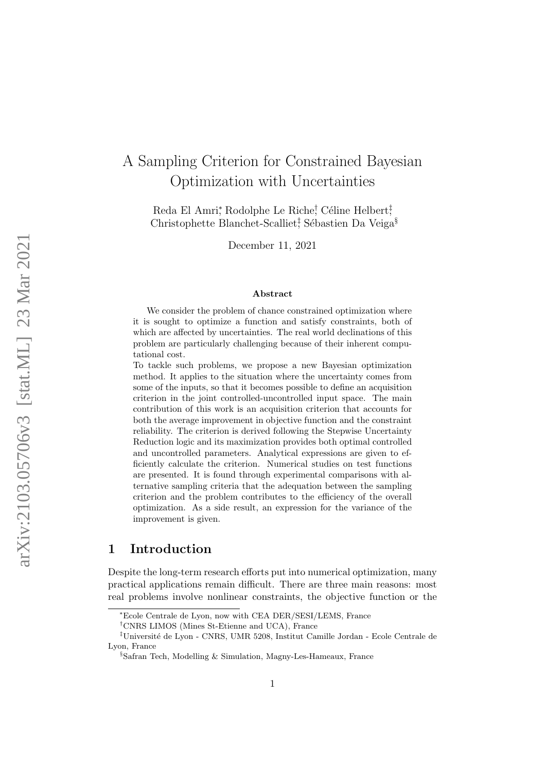# A Sampling Criterion for Constrained Bayesian Optimization with Uncertainties

Reda El Amri\*, Rodolphe Le Riche<sup>†</sup>, Céline Helbert<sup>‡</sup>, Christophette Blanchet-Scalliet<sup>†</sup>, Sébastien Da Veiga<sup>§</sup>

December 11, 2021

#### Abstract

We consider the problem of chance constrained optimization where it is sought to optimize a function and satisfy constraints, both of which are affected by uncertainties. The real world declinations of this problem are particularly challenging because of their inherent computational cost.

To tackle such problems, we propose a new Bayesian optimization method. It applies to the situation where the uncertainty comes from some of the inputs, so that it becomes possible to define an acquisition criterion in the joint controlled-uncontrolled input space. The main contribution of this work is an acquisition criterion that accounts for both the average improvement in objective function and the constraint reliability. The criterion is derived following the Stepwise Uncertainty Reduction logic and its maximization provides both optimal controlled and uncontrolled parameters. Analytical expressions are given to efficiently calculate the criterion. Numerical studies on test functions are presented. It is found through experimental comparisons with alternative sampling criteria that the adequation between the sampling criterion and the problem contributes to the efficiency of the overall optimization. As a side result, an expression for the variance of the improvement is given.

## 1 Introduction

Despite the long-term research efforts put into numerical optimization, many practical applications remain difficult. There are three main reasons: most real problems involve nonlinear constraints, the objective function or the

<sup>∗</sup>Ecole Centrale de Lyon, now with CEA DER/SESI/LEMS, France

<sup>†</sup>CNRS LIMOS (Mines St-Etienne and UCA), France

 $^\ddag$ Université de Lyon - CNRS, UMR 5208, Institut Camille Jordan - Ecole Centrale de Lyon, France

<sup>§</sup>Safran Tech, Modelling & Simulation, Magny-Les-Hameaux, France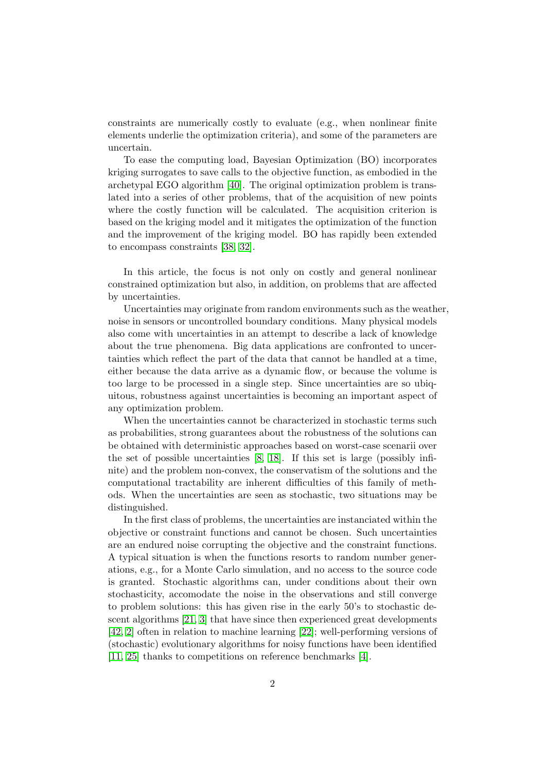constraints are numerically costly to evaluate (e.g., when nonlinear finite elements underlie the optimization criteria), and some of the parameters are uncertain.

To ease the computing load, Bayesian Optimization (BO) incorporates kriging surrogates to save calls to the objective function, as embodied in the archetypal EGO algorithm [\[40\]](#page-25-0). The original optimization problem is translated into a series of other problems, that of the acquisition of new points where the costly function will be calculated. The acquisition criterion is based on the kriging model and it mitigates the optimization of the function and the improvement of the kriging model. BO has rapidly been extended to encompass constraints [\[38,](#page-25-1) [32\]](#page-25-2).

In this article, the focus is not only on costly and general nonlinear constrained optimization but also, in addition, on problems that are affected by uncertainties.

Uncertainties may originate from random environments such as the weather, noise in sensors or uncontrolled boundary conditions. Many physical models also come with uncertainties in an attempt to describe a lack of knowledge about the true phenomena. Big data applications are confronted to uncertainties which reflect the part of the data that cannot be handled at a time, either because the data arrive as a dynamic flow, or because the volume is too large to be processed in a single step. Since uncertainties are so ubiquitous, robustness against uncertainties is becoming an important aspect of any optimization problem.

When the uncertainties cannot be characterized in stochastic terms such as probabilities, strong guarantees about the robustness of the solutions can be obtained with deterministic approaches based on worst-case scenarii over the set of possible uncertainties [\[8,](#page-23-0) [18\]](#page-23-1). If this set is large (possibly infinite) and the problem non-convex, the conservatism of the solutions and the computational tractability are inherent difficulties of this family of methods. When the uncertainties are seen as stochastic, two situations may be distinguished.

In the first class of problems, the uncertainties are instanciated within the objective or constraint functions and cannot be chosen. Such uncertainties are an endured noise corrupting the objective and the constraint functions. A typical situation is when the functions resorts to random number generations, e.g., for a Monte Carlo simulation, and no access to the source code is granted. Stochastic algorithms can, under conditions about their own stochasticity, accomodate the noise in the observations and still converge to problem solutions: this has given rise in the early 50's to stochastic descent algorithms [\[21,](#page-24-0) [3\]](#page-22-0) that have since then experienced great developments [\[42,](#page-26-0) [2\]](#page-22-1) often in relation to machine learning [\[22\]](#page-24-1); well-performing versions of (stochastic) evolutionary algorithms for noisy functions have been identified [\[11,](#page-23-2) [25\]](#page-24-2) thanks to competitions on reference benchmarks [\[4\]](#page-22-2).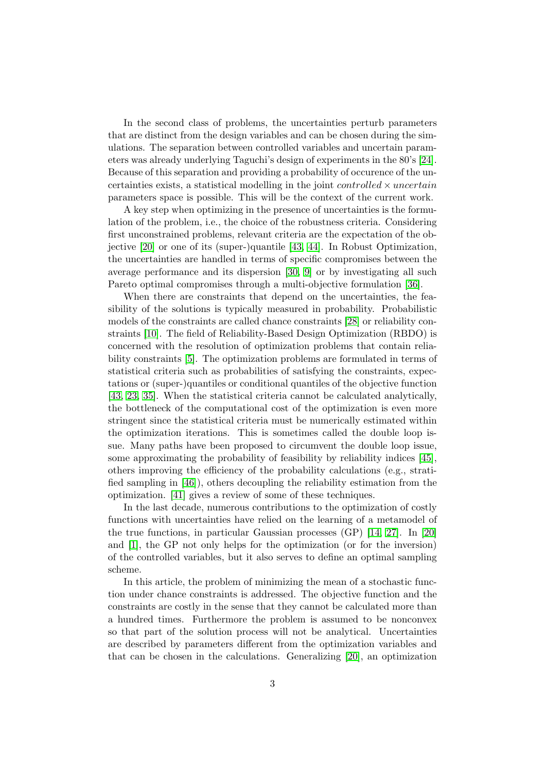In the second class of problems, the uncertainties perturb parameters that are distinct from the design variables and can be chosen during the simulations. The separation between controlled variables and uncertain parameters was already underlying Taguchi's design of experiments in the 80's [\[24\]](#page-24-3). Because of this separation and providing a probability of occurence of the uncertainties exists, a statistical modelling in the joint *controlled*  $\times$  *uncertain* parameters space is possible. This will be the context of the current work.

A key step when optimizing in the presence of uncertainties is the formulation of the problem, i.e., the choice of the robustness criteria. Considering first unconstrained problems, relevant criteria are the expectation of the objective [\[20\]](#page-24-4) or one of its (super-)quantile [\[43,](#page-26-1) [44\]](#page-26-2). In Robust Optimization, the uncertainties are handled in terms of specific compromises between the average performance and its dispersion [\[30,](#page-24-5) [9\]](#page-23-3) or by investigating all such Pareto optimal compromises through a multi-objective formulation [\[36\]](#page-25-3).

When there are constraints that depend on the uncertainties, the feasibility of the solutions is typically measured in probability. Probabilistic models of the constraints are called chance constraints [\[28\]](#page-24-6) or reliability constraints [\[10\]](#page-23-4). The field of Reliability-Based Design Optimization (RBDO) is concerned with the resolution of optimization problems that contain reliability constraints [\[5\]](#page-22-3). The optimization problems are formulated in terms of statistical criteria such as probabilities of satisfying the constraints, expectations or (super-)quantiles or conditional quantiles of the objective function [\[43,](#page-26-1) [23,](#page-24-7) [35\]](#page-25-4). When the statistical criteria cannot be calculated analytically, the bottleneck of the computational cost of the optimization is even more stringent since the statistical criteria must be numerically estimated within the optimization iterations. This is sometimes called the double loop issue. Many paths have been proposed to circumvent the double loop issue, some approximating the probability of feasibility by reliability indices [\[45\]](#page-26-3), others improving the efficiency of the probability calculations (e.g., stratified sampling in [\[46\]](#page-26-4)), others decoupling the reliability estimation from the optimization. [\[41\]](#page-25-5) gives a review of some of these techniques.

In the last decade, numerous contributions to the optimization of costly functions with uncertainties have relied on the learning of a metamodel of the true functions, in particular Gaussian processes (GP) [\[14,](#page-23-5) [27\]](#page-24-8). In [\[20\]](#page-24-4) and [\[1\]](#page-22-4), the GP not only helps for the optimization (or for the inversion) of the controlled variables, but it also serves to define an optimal sampling scheme.

In this article, the problem of minimizing the mean of a stochastic function under chance constraints is addressed. The objective function and the constraints are costly in the sense that they cannot be calculated more than a hundred times. Furthermore the problem is assumed to be nonconvex so that part of the solution process will not be analytical. Uncertainties are described by parameters different from the optimization variables and that can be chosen in the calculations. Generalizing [\[20\]](#page-24-4), an optimization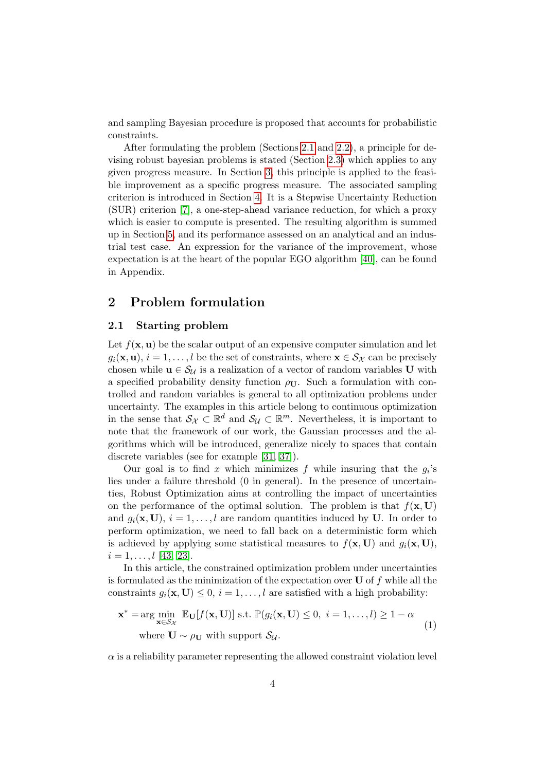and sampling Bayesian procedure is proposed that accounts for probabilistic constraints.

After formulating the problem (Sections [2.1](#page-3-0) and [2.2\)](#page-4-0), a principle for devising robust bayesian problems is stated (Section [2.3\)](#page-5-0) which applies to any given progress measure. In Section [3,](#page-6-0) this principle is applied to the feasible improvement as a specific progress measure. The associated sampling criterion is introduced in Section [4.](#page-8-0) It is a Stepwise Uncertainty Reduction (SUR) criterion [\[7\]](#page-22-5), a one-step-ahead variance reduction, for which a proxy which is easier to compute is presented. The resulting algorithm is summed up in Section [5,](#page-11-0) and its performance assessed on an analytical and an industrial test case. An expression for the variance of the improvement, whose expectation is at the heart of the popular EGO algorithm [\[40\]](#page-25-0), can be found in Appendix.

# 2 Problem formulation

### <span id="page-3-0"></span>2.1 Starting problem

Let  $f(\mathbf{x}, \mathbf{u})$  be the scalar output of an expensive computer simulation and let  $g_i(\mathbf{x}, \mathbf{u}), i = 1, \ldots, l$  be the set of constraints, where  $\mathbf{x} \in S_{\mathcal{X}}$  can be precisely chosen while  $u \in \mathcal{S}_{\mathcal{U}}$  is a realization of a vector of random variables U with a specified probability density function  $\rho_{\text{U}}$ . Such a formulation with controlled and random variables is general to all optimization problems under uncertainty. The examples in this article belong to continuous optimization in the sense that  $\mathcal{S}_{\mathcal{X}} \subset \mathbb{R}^d$  and  $\mathcal{S}_{\mathcal{U}} \subset \mathbb{R}^m$ . Nevertheless, it is important to note that the framework of our work, the Gaussian processes and the algorithms which will be introduced, generalize nicely to spaces that contain discrete variables (see for example [\[31,](#page-24-9) [37\]](#page-25-6)).

Our goal is to find x which minimizes f while insuring that the  $g_i$ 's lies under a failure threshold (0 in general). In the presence of uncertainties, Robust Optimization aims at controlling the impact of uncertainties on the performance of the optimal solution. The problem is that  $f(\mathbf{x}, \mathbf{U})$ and  $g_i(\mathbf{x}, \mathbf{U})$ ,  $i = 1, \ldots, l$  are random quantities induced by U. In order to perform optimization, we need to fall back on a deterministic form which is achieved by applying some statistical measures to  $f(\mathbf{x}, \mathbf{U})$  and  $g_i(\mathbf{x}, \mathbf{U})$ ,  $i = 1, \ldots, l$  [\[43,](#page-26-1) [23\]](#page-24-7).

In this article, the constrained optimization problem under uncertainties is formulated as the minimization of the expectation over  $U$  of f while all the constraints  $q_i(\mathbf{x}, \mathbf{U}) \leq 0$ ,  $i = 1, \ldots, l$  are satisfied with a high probability:

<span id="page-3-1"></span>
$$
\mathbf{x}^* = \arg\min_{\mathbf{x} \in \mathcal{S}_{\mathcal{X}}} \mathbb{E}_{\mathbf{U}}[f(\mathbf{x}, \mathbf{U})] \text{ s.t. } \mathbb{P}(g_i(\mathbf{x}, \mathbf{U}) \le 0, \ i = 1, ..., l) \ge 1 - \alpha
$$
  
where  $\mathbf{U} \sim \rho_{\mathbf{U}}$  with support  $\mathcal{S}_{\mathcal{U}}.$  (1)

 $\alpha$  is a reliability parameter representing the allowed constraint violation level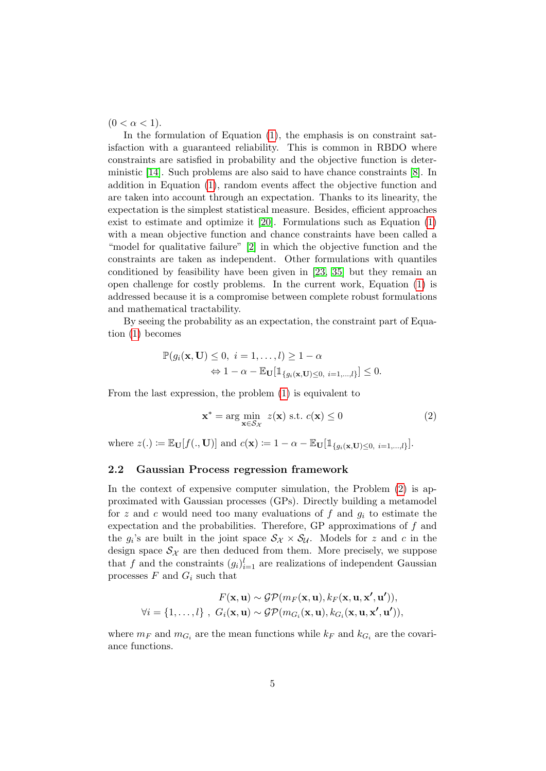$(0 < \alpha < 1).$ 

In the formulation of Equation  $(1)$ , the emphasis is on constraint satisfaction with a guaranteed reliability. This is common in RBDO where constraints are satisfied in probability and the objective function is deterministic [\[14\]](#page-23-5). Such problems are also said to have chance constraints [\[8\]](#page-23-0). In addition in Equation [\(1\)](#page-3-1), random events affect the objective function and are taken into account through an expectation. Thanks to its linearity, the expectation is the simplest statistical measure. Besides, efficient approaches exist to estimate and optimize it [\[20\]](#page-24-4). Formulations such as Equation [\(1\)](#page-3-1) with a mean objective function and chance constraints have been called a "model for qualitative failure" [\[2\]](#page-22-1) in which the objective function and the constraints are taken as independent. Other formulations with quantiles conditioned by feasibility have been given in [\[23,](#page-24-7) [35\]](#page-25-4) but they remain an open challenge for costly problems. In the current work, Equation [\(1\)](#page-3-1) is addressed because it is a compromise between complete robust formulations and mathematical tractability.

By seeing the probability as an expectation, the constraint part of Equation [\(1\)](#page-3-1) becomes

$$
\mathbb{P}(g_i(\mathbf{x}, \mathbf{U}) \leq 0, \ i = 1, \dots, l) \geq 1 - \alpha
$$

$$
\Leftrightarrow 1 - \alpha - \mathbb{E}_{\mathbf{U}}[\mathbb{1}_{\{g_i(\mathbf{x}, \mathbf{U}) \leq 0, \ i = 1, \dots, l\}}] \leq 0.
$$

From the last expression, the problem [\(1\)](#page-3-1) is equivalent to

<span id="page-4-1"></span>
$$
\mathbf{x}^* = \arg\min_{\mathbf{x} \in \mathcal{S}_{\mathcal{X}}} z(\mathbf{x}) \text{ s.t. } c(\mathbf{x}) \le 0 \tag{2}
$$

where  $z(.) \coloneqq \mathbb{E}_{\mathbf{U}}[f(., \mathbf{U})]$  and  $c(\mathbf{x}) \coloneqq 1 - \alpha - \mathbb{E}_{\mathbf{U}}[\mathbb{1}_{\{g_i(\mathbf{x}, \mathbf{U}) \leq 0, i=1,...,l\}}].$ 

### <span id="page-4-0"></span>2.2 Gaussian Process regression framework

In the context of expensive computer simulation, the Problem [\(2\)](#page-4-1) is approximated with Gaussian processes (GPs). Directly building a metamodel for z and c would need too many evaluations of f and  $g_i$  to estimate the expectation and the probabilities. Therefore, GP approximations of  $f$  and the  $g_i$ 's are built in the joint space  $S_{\mathcal{X}} \times S_{\mathcal{U}}$ . Models for z and c in the design space  $\mathcal{S}_{\mathcal{X}}$  are then deduced from them. More precisely, we suppose that f and the constraints  $(g_i)_{i=1}^l$  are realizations of independent Gaussian processes  $F$  and  $G_i$  such that

$$
F(\mathbf{x}, \mathbf{u}) \sim \mathcal{GP}(m_F(\mathbf{x}, \mathbf{u}), k_F(\mathbf{x}, \mathbf{u}, \mathbf{x}', \mathbf{u}')),
$$
  

$$
\forall i = \{1, \dots, l\}, \ G_i(\mathbf{x}, \mathbf{u}) \sim \mathcal{GP}(m_{G_i}(\mathbf{x}, \mathbf{u}), k_{G_i}(\mathbf{x}, \mathbf{u}, \mathbf{x}', \mathbf{u}')),
$$

where  $m_F$  and  $m_{G_i}$  are the mean functions while  $k_F$  and  $k_{G_i}$  are the covariance functions.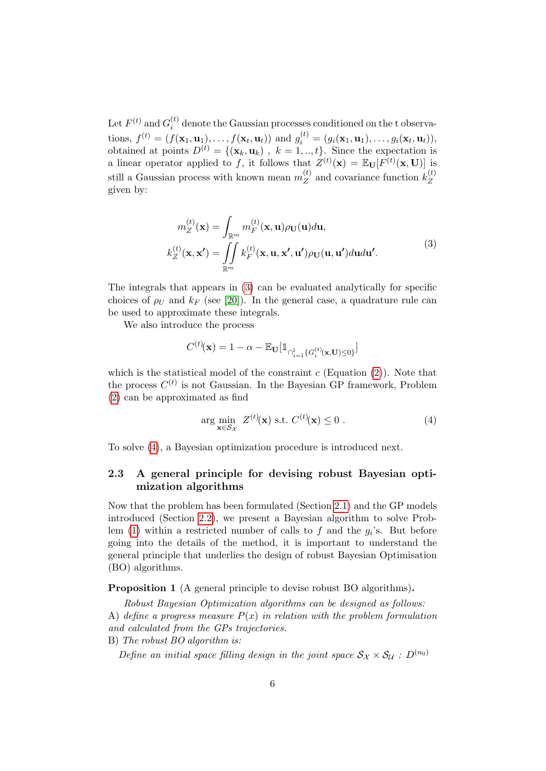Let  $F^{(t)}$  and  $G_i^{(t)}$  $i<sup>(t)</sup>$  denote the Gaussian processes conditioned on the t observations,  $f^{(t)} = (f(\mathbf{x}_1, \mathbf{u}_1), \dots, f(\mathbf{x}_t, \mathbf{u}_t))$  and  $g_i^{(t)} = (g_i(\mathbf{x}_1, \mathbf{u}_1), \dots, g_i(\mathbf{x}_t, \mathbf{u}_t)),$ obtained at points  $D^{(t)} = \{(\mathbf{x}_k, \mathbf{u}_k) , k = 1, ..., t\}$ . Since the expectation is a linear operator applied to f, it follows that  $Z^{(t)}(\mathbf{x}) = \mathbb{E}_{\mathbf{U}}[F^{(t)}(\mathbf{x}, \mathbf{U})]$  is still a Gaussian process with known mean  $m_Z^{(t)}$  $\chi_Z^{(t)}$  and covariance function  $k_Z^{(t)}$ Z given by:

$$
m_Z^{(t)}(\mathbf{x}) = \int_{\mathbb{R}^m} m_F^{(t)}(\mathbf{x}, \mathbf{u}) \rho_{\mathbf{U}}(\mathbf{u}) d\mathbf{u},
$$
  
\n
$$
k_Z^{(t)}(\mathbf{x}, \mathbf{x'}) = \iint_{\mathbb{R}^m} k_F^{(t)}(\mathbf{x}, \mathbf{u}, \mathbf{x'}, \mathbf{u'}) \rho_{\mathbf{U}}(\mathbf{u}, \mathbf{u'}) d\mathbf{u'}.
$$
\n(3)

<span id="page-5-1"></span>The integrals that appears in [\(3\)](#page-5-1) can be evaluated analytically for specific choices of  $\rho_U$  and  $k_F$  (see [\[20\]](#page-24-4)). In the general case, a quadrature rule can be used to approximate these integrals.

We also introduce the process

$$
C^{(t)}\!(\mathbf{x}) = 1 - \alpha - \mathbb{E}_{\mathbf{U}}[\mathbb{1}_{\bigcap_{i=1}^l \{G_i^{(t)}(\mathbf{x}, \mathbf{U}) \le 0\}}]
$$

which is the statistical model of the constraint  $c$  (Equation [\(2\)](#page-4-1)). Note that the process  $C^{(t)}$  is not Gaussian. In the Bayesian GP framework, Problem [\(2\)](#page-4-1) can be approximated as find

<span id="page-5-2"></span>
$$
\arg\min_{\mathbf{x}\in\mathcal{S}_{\mathcal{X}}} Z^{(t)}(\mathbf{x}) \text{ s.t. } C^{(t)}(\mathbf{x}) \leq 0.
$$
\n(4)

To solve [\(4\)](#page-5-2), a Bayesian optimization procedure is introduced next.

### <span id="page-5-0"></span>2.3 A general principle for devising robust Bayesian optimization algorithms

Now that the problem has been formulated (Section [2.1\)](#page-3-0) and the GP models introduced (Section [2.2\)](#page-4-0), we present a Bayesian algorithm to solve Prob-lem [\(1\)](#page-3-1) within a restricted number of calls to f and the  $g_i$ 's. But before going into the details of the method, it is important to understand the general principle that underlies the design of robust Bayesian Optimisation (BO) algorithms.

<span id="page-5-3"></span>Proposition 1 (A general principle to devise robust BO algorithms).

Robust Bayesian Optimization algorithms can be designed as follows:

A) define a progress measure  $P(x)$  in relation with the problem formulation and calculated from the GPs trajectories.

B) The robust BO algorithm is:

Define an initial space filling design in the joint space  $S_{\mathcal{X}} \times S_{\mathcal{U}}$  :  $D^{(n_0)}$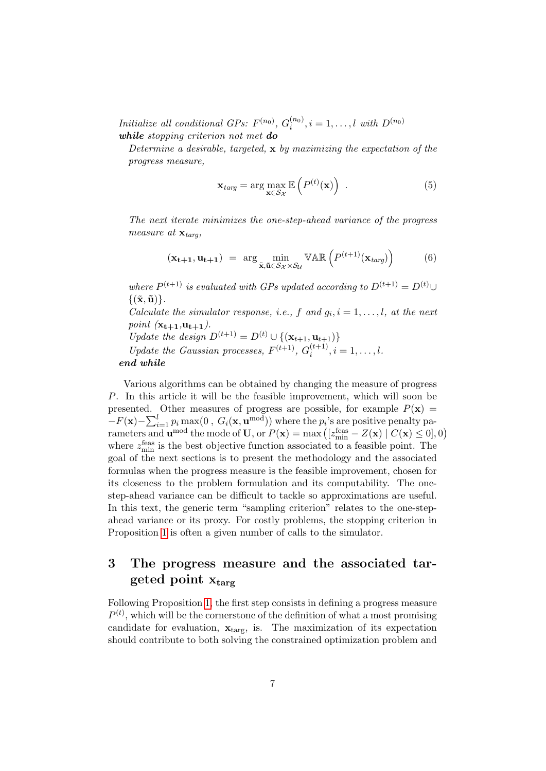Initialize all conditional GPs:  $F^{(n_0)}$ ,  $G_i^{(n_0)}$  $i^{(n_0)}$ ,  $i = 1, \ldots, l$  with  $D^{(n_0)}$ while stopping criterion not met do

Determine a desirable, targeted,  $\bf{x}$  by maximizing the expectation of the progress measure,

<span id="page-6-1"></span>
$$
\mathbf{x}_{targ} = \arg \max_{\mathbf{x} \in \mathcal{S}_{\mathcal{X}}} \mathbb{E}\left(P^{(t)}(\mathbf{x})\right) \tag{5}
$$

The next iterate minimizes the one-step-ahead variance of the progress measure at  $\mathbf{x}_{targ}$ ,

<span id="page-6-2"></span>
$$
(\mathbf{x_{t+1}}, \mathbf{u_{t+1}}) = \arg \min_{\tilde{\mathbf{x}}, \tilde{\mathbf{u}} \in \mathcal{S}_{\mathcal{X}} \times \mathcal{S}_{\mathcal{U}}} \mathbb{VAR}\left(P^{(t+1)}(\mathbf{x}_{targ})\right) \tag{6}
$$

where  $P^{(t+1)}$  is evaluated with GPs updated according to  $D^{(t+1)} = D^{(t)} \cup$  $\{(\tilde{\mathbf{x}}, \tilde{\mathbf{u}})\}.$ 

Calculate the simulator response, i.e., f and  $g_i$ ,  $i = 1, \ldots, l$ , at the next point  $(\mathbf{x_{t+1}},\mathbf{u_{t+1}})$ .

Update the design  $D^{(t+1)} = D^{(t)} \cup \{(\mathbf{x}_{t+1}, \mathbf{u}_{t+1})\}$ 

Update the Gaussian processes,  $F^{(t+1)}$ ,  $G_i^{(t+1)}$  $i^{(l+1)}$ ,  $i = 1, \ldots, l$ . end while

Various algorithms can be obtained by changing the measure of progress P. In this article it will be the feasible improvement, which will soon be presented. Other measures of progress are possible, for example  $P(x)$  =  $-F(\mathbf{x})-\sum_{i=1}^l p_i \max(0, G_i(\mathbf{x}, \mathbf{u}^{\text{mod}}))$  where the  $p_i$ 's are positive penalty parameters and  $\mathbf{u}^{\text{mod}}$  the mode of U, or  $P(\mathbf{x}) = \max\left( \left[ z_{\text{min}}^{\text{feas}} - Z(\mathbf{x}) \mid C(\mathbf{x}) \leq 0 \right], 0 \right)$ where  $z_{\text{min}}^{\text{feas}}$  is the best objective function associated to a feasible point. The goal of the next sections is to present the methodology and the associated formulas when the progress measure is the feasible improvement, chosen for its closeness to the problem formulation and its computability. The onestep-ahead variance can be difficult to tackle so approximations are useful. In this text, the generic term "sampling criterion" relates to the one-stepahead variance or its proxy. For costly problems, the stopping criterion in Proposition [1](#page-5-3) is often a given number of calls to the simulator.

# <span id="page-6-0"></span>3 The progress measure and the associated targeted point  $x_{\text{targ}}$

Following Proposition [1,](#page-5-3) the first step consists in defining a progress measure  $P^{(t)}$ , which will be the cornerstone of the definition of what a most promising candidate for evaluation,  $\mathbf{x}_{\text{targ}}$ , is. The maximization of its expectation should contribute to both solving the constrained optimization problem and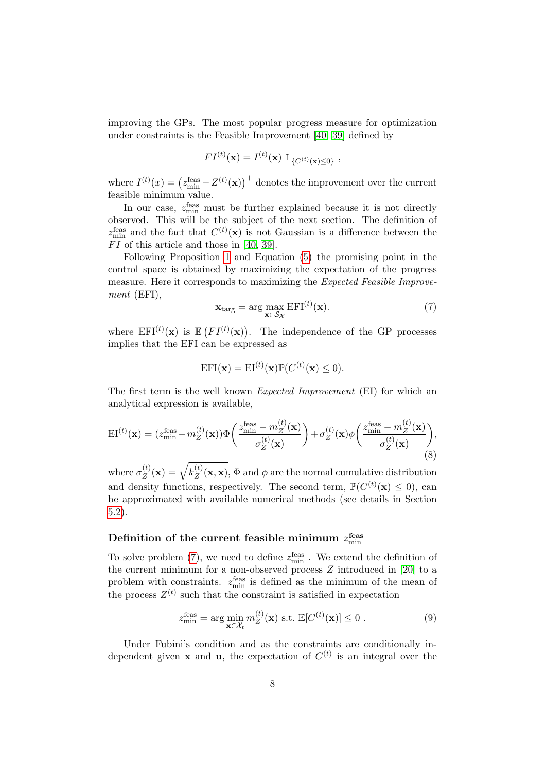improving the GPs. The most popular progress measure for optimization under constraints is the Feasible Improvement [\[40,](#page-25-0) [39\]](#page-25-7) defined by

$$
FI^{(t)}(\mathbf{x}) = I^{(t)}(\mathbf{x}) \; 1\!\!1_{\{C^{(t)}(\mathbf{x}) \le 0\}} \;,
$$

where  $I^{(t)}(x) = (z_{\text{min}}^{\text{feas}} - Z^{(t)}(\mathbf{x}))^+$  denotes the improvement over the current feasible minimum value.

In our case,  $z_{\text{min}}^{\text{feas}}$  must be further explained because it is not directly observed. This will be the subject of the next section. The definition of  $z_{\text{min}}^{\text{feas}}$  and the fact that  $C^{(t)}(\mathbf{x})$  is not Gaussian is a difference between the  $FI$  of this article and those in [\[40,](#page-25-0) [39\]](#page-25-7).

Following Proposition [1](#page-5-3) and Equation [\(5\)](#page-6-1) the promising point in the control space is obtained by maximizing the expectation of the progress measure. Here it corresponds to maximizing the Expected Feasible Improvement (EFI),

<span id="page-7-0"></span>
$$
\mathbf{x}_{\text{targ}} = \arg\max_{\mathbf{x} \in \mathcal{S}_{\mathcal{X}}} \text{EFI}^{(t)}(\mathbf{x}).\tag{7}
$$

where  $EFI^{(t)}(\mathbf{x})$  is  $E\left(FI^{(t)}(\mathbf{x})\right)$ . The independence of the GP processes implies that the EFI can be expressed as

$$
EFI(\mathbf{x}) = EI^{(t)}(\mathbf{x})P(C^{(t)}(\mathbf{x}) \le 0).
$$

The first term is the well known Expected Improvement (EI) for which an analytical expression is available,

<span id="page-7-2"></span>
$$
EI^{(t)}(\mathbf{x}) = (z_{\min}^{\text{feas}} - m_Z^{(t)}(\mathbf{x})) \Phi\left(\frac{z_{\min}^{\text{feas}} - m_Z^{(t)}(\mathbf{x})}{\sigma_Z^{(t)}(\mathbf{x})}\right) + \sigma_Z^{(t)}(\mathbf{x}) \phi\left(\frac{z_{\min}^{\text{feas}} - m_Z^{(t)}(\mathbf{x})}{\sigma_Z^{(t)}(\mathbf{x})}\right),\tag{8}
$$

where  $\sigma_Z^{(t)}$  $\chi^{(t)}_Z(\mathbf{x}) = \sqrt{k^{(t)}_Z}$  $\chi_Z^{(t)}(\mathbf{x}, \mathbf{x}), \Phi$  and  $\phi$  are the normal cumulative distribution and density functions, respectively. The second term,  $\mathbb{P}(C^{(t)}(\mathbf{x}) \leq 0)$ , can be approximated with available numerical methods (see details in Section [5.2\)](#page-14-0).

# Definition of the current feasible minimum  $z_{\rm min}^{\rm feas}$

To solve problem [\(7\)](#page-7-0), we need to define  $z_{\text{min}}^{\text{feas}}$ . We extend the definition of the current minimum for a non-observed process Z introduced in [\[20\]](#page-24-4) to a problem with constraints.  $z_{\text{min}}^{\text{feas}}$  is defined as the minimum of the mean of the process  $Z^{(t)}$  such that the constraint is satisfied in expectation

<span id="page-7-1"></span>
$$
z_{\min}^{\text{feas}} = \arg\min_{\mathbf{x} \in \mathcal{X}_t} m_Z^{(t)}(\mathbf{x}) \text{ s.t. } \mathbb{E}[C^{(t)}(\mathbf{x})] \le 0 \text{ .}
$$
 (9)

Under Fubini's condition and as the constraints are conditionally independent given **x** and **u**, the expectation of  $C^{(t)}$  is an integral over the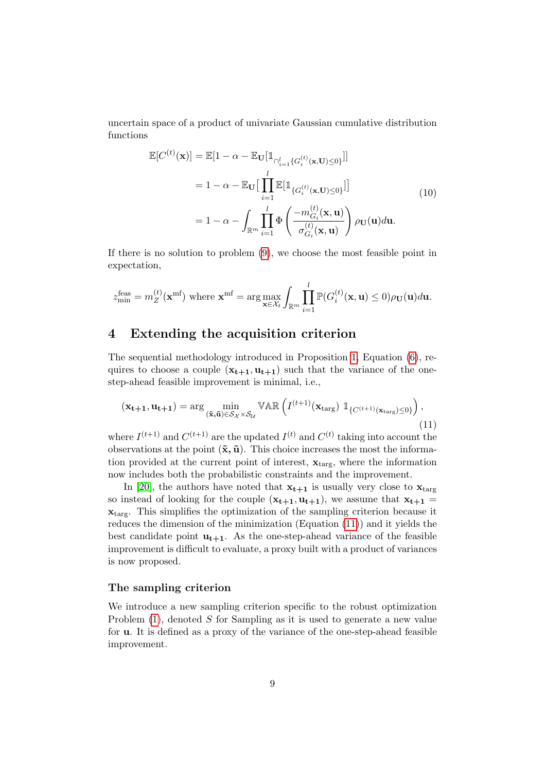uncertain space of a product of univariate Gaussian cumulative distribution functions

$$
\mathbb{E}[C^{(t)}(\mathbf{x})] = \mathbb{E}[1 - \alpha - \mathbb{E}_{\mathbf{U}}[\mathbb{1}_{\cap_{i=1}^{l} \{G_i^{(t)}(\mathbf{x}, \mathbf{U}) \le 0\}}]]
$$
\n
$$
= 1 - \alpha - \mathbb{E}_{\mathbf{U}}[\prod_{i=1}^{l} \mathbb{E}[\mathbb{1}_{\{G_i^{(t)}(\mathbf{x}, \mathbf{U}) \le 0\}}]]
$$
\n
$$
= 1 - \alpha - \int_{\mathbb{R}^m} \prod_{i=1}^{l} \Phi\left(\frac{-m_{G_i}^{(t)}(\mathbf{x}, \mathbf{u})}{\sigma_{G_i}^{(t)}(\mathbf{x}, \mathbf{u})}\right) \rho_{\mathbf{U}}(\mathbf{u}) d\mathbf{u}.
$$
\n(10)

If there is no solution to problem [\(9\)](#page-7-1), we choose the most feasible point in expectation,

$$
z_{\min}^{\text{feas}} = m_Z^{(t)}(\mathbf{x}^{\text{mf}}) \text{ where } \mathbf{x}^{\text{mf}} = \arg \max_{\mathbf{x} \in \mathcal{X}_t} \int_{\mathbb{R}^m} \prod_{i=1}^l \mathbb{P}(G_i^{(t)}(\mathbf{x}, \mathbf{u}) \le 0) \rho_{\mathbf{U}}(\mathbf{u}) d\mathbf{u}.
$$

# <span id="page-8-0"></span>4 Extending the acquisition criterion

The sequential methodology introduced in Proposition [1,](#page-5-3) Equation [\(6\)](#page-6-2), requires to choose a couple  $(\mathbf{x_{t+1}}, \mathbf{u_{t+1}})$  such that the variance of the onestep-ahead feasible improvement is minimal, i.e.,

<span id="page-8-1"></span>
$$
(\mathbf{x_{t+1}}, \mathbf{u_{t+1}}) = \arg\min_{(\tilde{\mathbf{x}}, \tilde{\mathbf{u}}) \in \mathcal{S}_{\mathcal{X}} \times \mathcal{S}_{\mathcal{U}}} \mathbb{VAR} \left( I^{(t+1)}(\mathbf{x}_{\text{targ}}) \mathbb{1}_{\{C^{(t+1)}(\mathbf{x}_{\text{targ}}) \le 0\}} \right), \tag{11}
$$

where  $I^{(t+1)}$  and  $C^{(t+1)}$  are the updated  $I^{(t)}$  and  $C^{(t)}$  taking into account the observations at the point  $(\tilde{\mathbf{x}}, \tilde{\mathbf{u}})$ . This choice increases the most the information provided at the current point of interest,  $\mathbf{x}_{\text{targ}}$ , where the information now includes both the probabilistic constraints and the improvement.

In [\[20\]](#page-24-4), the authors have noted that  $x_{t+1}$  is usually very close to  $x_{\text{targ}}$ so instead of looking for the couple  $(x_{t+1}, u_{t+1})$ , we assume that  $x_{t+1}$  = xtarg. This simplifies the optimization of the sampling criterion because it reduces the dimension of the minimization (Equation [\(11\)](#page-8-1)) and it yields the best candidate point  $\mathbf{u}_{t+1}$ . As the one-step-ahead variance of the feasible improvement is difficult to evaluate, a proxy built with a product of variances is now proposed.

#### The sampling criterion

We introduce a new sampling criterion specific to the robust optimization Problem  $(1)$ , denoted S for Sampling as it is used to generate a new value for u. It is defined as a proxy of the variance of the one-step-ahead feasible improvement.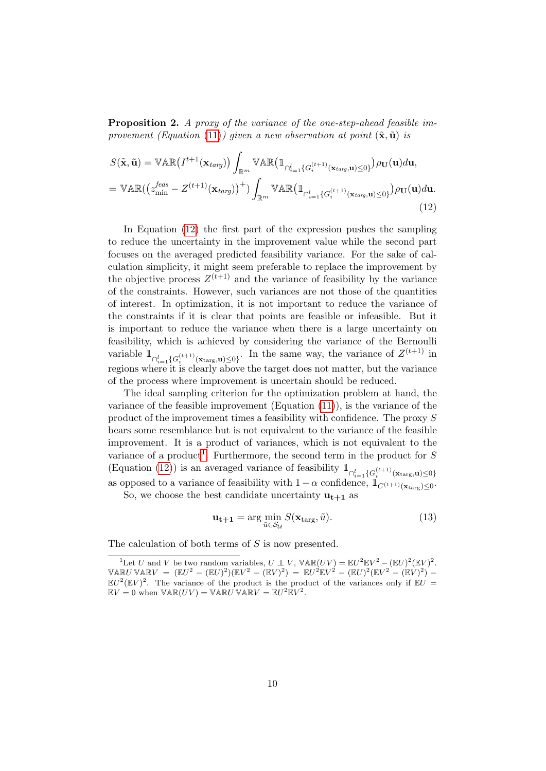Proposition 2. A proxy of the variance of the one-step-ahead feasible im-provement (Equation [\(11\)](#page-8-1)) given a new observation at point  $(\tilde{\mathbf{x}}, \tilde{\mathbf{u}})$  is

<span id="page-9-0"></span>
$$
S(\tilde{\mathbf{x}}, \tilde{\mathbf{u}}) = \mathbb{VAR}\left(I^{t+1}(\mathbf{x}_{targ})\right) \int_{\mathbb{R}^m} \mathbb{VAR}\left(\mathbb{1}_{\bigcap_{i=1}^l \{G_i^{(t+1)}(\mathbf{x}_{targ}, \mathbf{u}) \le 0\}}\right) \rho_{\mathbf{U}}(\mathbf{u}) d\mathbf{u},
$$
  
=  $\mathbb{VAR}\left(\left(z_{\min}^{feas} - Z^{(t+1)}(\mathbf{x}_{targ})\right)^+\right) \int_{\mathbb{R}^m} \mathbb{VAR}\left(\mathbb{1}_{\bigcap_{i=1}^l \{G_i^{(t+1)}(\mathbf{x}_{targ}, \mathbf{u}) \le 0\}}\right) \rho_{\mathbf{U}}(\mathbf{u}) d\mathbf{u}.$  (12)

In Equation [\(12\)](#page-9-0) the first part of the expression pushes the sampling to reduce the uncertainty in the improvement value while the second part focuses on the averaged predicted feasibility variance. For the sake of calculation simplicity, it might seem preferable to replace the improvement by the objective process  $Z^{(t+1)}$  and the variance of feasibility by the variance of the constraints. However, such variances are not those of the quantities of interest. In optimization, it is not important to reduce the variance of the constraints if it is clear that points are feasible or infeasible. But it is important to reduce the variance when there is a large uncertainty on feasibility, which is achieved by considering the variance of the Bernoulli variable  $\mathbb{1}_{\bigcap_{i=1}^l \{G_i^{(t+1)}(\mathbf{x}_{\text{targ}}, \mathbf{u}) \leq 0\}}$ . In the same way, the variance of  $Z^{(t+1)}$  in regions where it is clearly above the target does not matter, but the variance of the process where improvement is uncertain should be reduced.

The ideal sampling criterion for the optimization problem at hand, the variance of the feasible improvement (Equation [\(11\)](#page-8-1)), is the variance of the product of the improvement times a feasibility with confidence. The proxy S bears some resemblance but is not equivalent to the variance of the feasible improvement. It is a product of variances, which is not equivalent to the variance of a product<sup>[1](#page-9-1)</sup>. Furthermore, the second term in the product for S (Equation [\(12\)](#page-9-0)) is an averaged variance of feasibility  $\mathbb{1}_{\bigcap_{i=1}^l \{G_i^{(t+1)}(\mathbf{x}_{\text{targ}}, \mathbf{u})\leq 0\}}$ as opposed to a variance of feasibility with  $1 - \alpha$  confidence,  $\mathbb{1}_{C^{(t+1)}(\mathbf{x}_{\text{targ}}) \leq 0}$ .

So, we choose the best candidate uncertainty  $\mathbf{u}_{t+1}$  as

<span id="page-9-2"></span>
$$
\mathbf{u}_{t+1} = \arg\min_{\tilde{u} \in \mathcal{S}_{\mathcal{U}}} S(\mathbf{x}_{\text{targ}}, \tilde{u}). \tag{13}
$$

The calculation of both terms of S is now presented.

<span id="page-9-1"></span><sup>&</sup>lt;sup>1</sup>Let U and V be two random variables,  $U \perp V$ ,  $\mathbb{VAR}(UV) = \mathbb{E}U^2 \mathbb{E}V^2 - (\mathbb{E}U)^2 (\mathbb{E}V)^2$ .  $\mathbb{V} \mathbb{A} \mathbb{R} U \mathbb{V} \mathbb{A} \mathbb{R} V = (\mathbb{E} U^2 - (\mathbb{E} U)^2)(\mathbb{E} V^2 - (\mathbb{E} V)^2) = \mathbb{E} U^2 \mathbb{E} V^2 - (\mathbb{E} U)^2 (\mathbb{E} V^2 - (\mathbb{E} V)^2) \mathbb{E}U^2(\mathbb{E}V)^2$ . The variance of the product is the product of the variances only if  $\mathbb{E}U =$  $\mathbb{E}V = 0$  when  $\mathbb{VAR}(UV) = \mathbb{VAR}U \mathbb{VAR}V = \mathbb{E}U^2 \mathbb{E}V^2$ .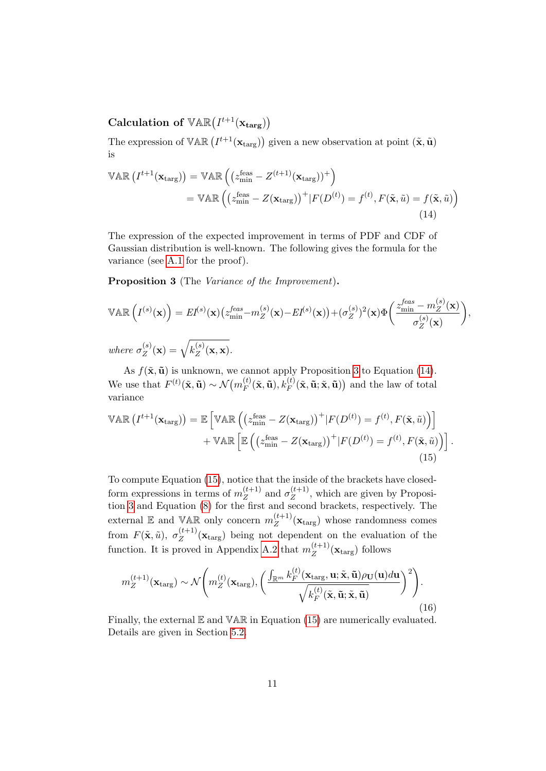Calculation of  $\mathbb{VAR}(I^{t+1}(\mathbf{x}_{\text{targ}}))$ 

The expression of  $\mathbb{VAR} (I^{t+1}(\mathbf{x}_{\text{targ}}))$  given a new observation at point  $(\tilde{\mathbf{x}}, \tilde{\mathbf{u}})$ is

<span id="page-10-1"></span>
$$
\mathbb{VAR}\left(I^{t+1}(\mathbf{x}_{\text{targ}})\right) = \mathbb{VAR}\left((z_{\text{min}}^{\text{feas}} - Z^{(t+1)}(\mathbf{x}_{\text{targ}}))^+\right)
$$
  
= 
$$
\mathbb{VAR}\left((z_{\text{min}}^{\text{feas}} - Z(\mathbf{x}_{\text{targ}}))^+|F(D^{(t)}) = f^{(t)}, F(\tilde{\mathbf{x}}, \tilde{u}) = f(\tilde{\mathbf{x}}, \tilde{u})\right)
$$
(14)

The expression of the expected improvement in terms of PDF and CDF of Gaussian distribution is well-known. The following gives the formula for the variance (see [A.1](#page-26-5) for the proof).

<span id="page-10-0"></span>Proposition 3 (The Variance of the Improvement).

$$
\mathbb{VAR}\left(I^{(s)}(\mathbf{x})\right) = EI^{(s)}(\mathbf{x}) \left(z_{\min}^{feas} - m_Z^{(s)}(\mathbf{x}) - EI^{(s)}(\mathbf{x})\right) + (\sigma_Z^{(s)})^2(\mathbf{x}) \Phi\left(\frac{z_{\min}^{feas} - m_Z^{(s)}(\mathbf{x})}{\sigma_Z^{(s)}(\mathbf{x})}\right),
$$
  
where  $\sigma_Z^{(s)}(\mathbf{x}) = \sqrt{k_Z^{(s)}(\mathbf{x}, \mathbf{x})}$ .

As  $f(\tilde{\mathbf{x}}, \tilde{\mathbf{u}})$  is unknown, we cannot apply Proposition [3](#page-10-0) to Equation [\(14\)](#page-10-1). We use that  $F^{(t)}(\tilde{\mathbf{x}}, \tilde{\mathbf{u}}) \sim \mathcal{N}(m_F^{(t)})$  $F_F^{(t)}(\tilde{\mathbf{x}}, \tilde{\mathbf{u}}), k_F^{(t)}(\tilde{\mathbf{x}}, \tilde{\mathbf{u}}; \tilde{\mathbf{x}}, \tilde{\mathbf{u}})$  and the law of total variance

<span id="page-10-2"></span>
$$
\mathbb{VAR}\left(I^{t+1}(\mathbf{x}_{\text{targ}})\right) = \mathbb{E}\left[\mathbb{VAR}\left(\left(z_{\text{min}}^{\text{feas}} - Z(\mathbf{x}_{\text{targ}})\right)^{+} | F(D^{(t)}) = f^{(t)}, F(\tilde{\mathbf{x}}, \tilde{u})\right)\right] + \mathbb{VAR}\left[\mathbb{E}\left(\left(z_{\text{min}}^{\text{feas}} - Z(\mathbf{x}_{\text{targ}})\right)^{+} | F(D^{(t)}) = f^{(t)}, F(\tilde{\mathbf{x}}, \tilde{u})\right)\right].
$$
\n(15)

To compute Equation [\(15\)](#page-10-2), notice that the inside of the brackets have closedform expressions in terms of  $m_Z^{(t+1)}$  $\frac{(t+1)}{Z}$  and  $\sigma_Z^{(t+1)}$  $Z^{(t+1)}$ , which are given by Proposition [3](#page-10-0) and Equation [\(8\)](#page-7-2) for the first and second brackets, respectively. The external  $\mathbb E$  and VAR only concern  $m_Z^{(t+1)}$  $\chi_Z^{(t+1)}(\mathbf{x}_{\text{targ}})$  whose randomness comes from  $F(\tilde{\mathbf{x}}, \tilde{u}), \sigma_Z^{(t+1)}$  $Z_Z^{(t+1)}(\mathbf{x}_{\text{targ}})$  being not dependent on the evaluation of the function. It is proved in Appendix [A.2](#page-28-0) that  $m_Z^{(t+1)}$  $Z^{(t+1)}(\mathbf{x}_{\text{targ}})$  follows

<span id="page-10-3"></span>
$$
m_Z^{(t+1)}(\mathbf{x}_{\text{targ}}) \sim \mathcal{N}\Bigg(m_Z^{(t)}(\mathbf{x}_{\text{targ}}), \bigg(\frac{\int_{\mathbb{R}^m} k_F^{(t)}(\mathbf{x}_{\text{targ}}, \mathbf{u}; \tilde{\mathbf{x}}, \tilde{\mathbf{u}}) \rho_{\mathbf{U}}(\mathbf{u}) d\mathbf{u}}{\sqrt{k_F^{(t)}(\tilde{\mathbf{x}}, \tilde{\mathbf{u}}; \tilde{\mathbf{x}}, \tilde{\mathbf{u}})}}\bigg)^2\Bigg). \tag{16}
$$

Finally, the external  $E$  and  $VAR$  in Equation [\(15\)](#page-10-2) are numerically evaluated. Details are given in Section [5.2.](#page-14-0)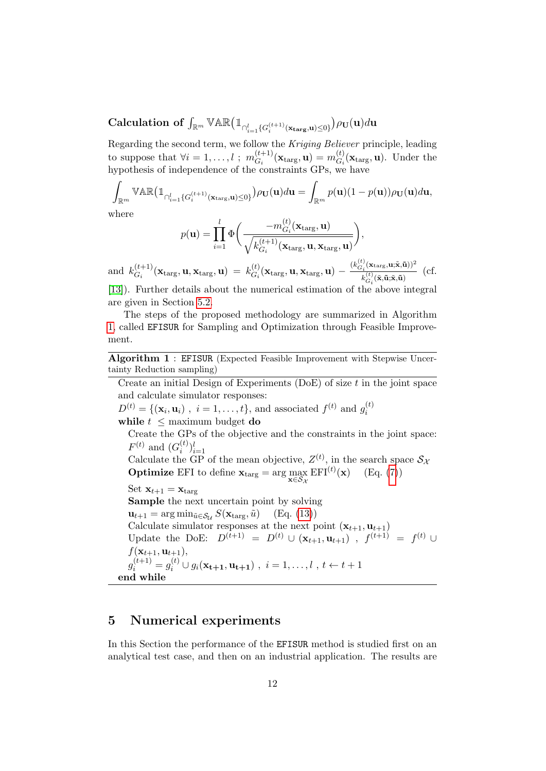$\textbf{Calculation of } \int_{\mathbb{R}^m} \mathbb{VAR} \big( \mathbb{1}_{\cap_{i=1}^l \{ G_i^{(t+1)}(\mathbf{x}_\mathbf{targ}, \mathbf{u}) \leq 0 \}} \big) \rho_{\mathbf{U}}(\mathbf{u}) d \mathbf{u}$ 

Regarding the second term, we follow the Kriging Believer principle, leading to suppose that  $\forall i = 1, \ldots, l$ ;  $m_{G_i}^{(t+1)}$  $\mathbf{G}_{G_i}^{(t+1)}(\mathbf{x}_{\text{targ}}, \mathbf{u}) = m_{G_i}^{(t)}$  $G_i^{(t)}(\mathbf{x}_{\text{targ}}, \mathbf{u})$ . Under the hypothesis of independence of the constraints GPs, we have

$$
\int_{\mathbb{R}^m} \mathbb{VAR} \left( \mathbb{1}_{\bigcap_{i=1}^l \{G_i^{(t+1)}(\mathbf{x}_{\text{targ}}, \mathbf{u}) \le 0\}} \right) \rho_{\mathbf{U}}(\mathbf{u}) d\mathbf{u} = \int_{\mathbb{R}^m} p(\mathbf{u})(1 - p(\mathbf{u})) \rho_{\mathbf{U}}(\mathbf{u}) d\mathbf{u},
$$
where

where

$$
p(\mathbf{u}) = \prod_{i=1}^{l} \Phi\bigg(\frac{-m_{G_i}^{(t)}(\mathbf{x}_{\text{targ}}, \mathbf{u})}{\sqrt{k_{G_i}^{(t+1)}(\mathbf{x}_{\text{targ}}, \mathbf{u}, \mathbf{x}_{\text{targ}}, \mathbf{u})}}\bigg),
$$

and  $k_G^{(t+1)}$  $\mathcal{L}_{G_i}^{(t+1)}(\mathbf{x}_{\text{targ}}, \mathbf{u}, \mathbf{x}_{\text{targ}}, \mathbf{u}) = k_{G_i}^{(t)}$  $\frac{dG_i(t)}{dG_i}(\mathbf{x}_{\text{targ}},\mathbf{u},\mathbf{x}_{\text{targ}},\mathbf{u}) - \frac{(k_{G_i}^{(t)}(\mathbf{x}_{\text{targ}},\mathbf{u};\tilde{\mathbf{x}},\tilde{\mathbf{u}}))^2}{k_{G_i}^{(t)}(\tilde{\mathbf{x}},\tilde{\mathbf{u}};\tilde{\mathbf{x}},\tilde{\mathbf{u}})}$  $\frac{k_{G_i}^{(t)}(\tilde{\mathbf{x}}, \tilde{\mathbf{u}}; \tilde{\mathbf{x}}, \tilde{\mathbf{u}})}{k_{G_i}^{(t)}(\tilde{\mathbf{x}}, \tilde{\mathbf{u}}; \tilde{\mathbf{x}}, \tilde{\mathbf{u}})}$  (cf. [\[13\]](#page-23-6)). Further details about the numerical estimation of the above integral

The steps of the proposed methodology are summarized in Algorithm [1,](#page-11-1) called EFISUR for Sampling and Optimization through Feasible Improvement.

Algorithm 1 : EFISUR (Expected Feasible Improvement with Stepwise Uncertainty Reduction sampling)

Create an initial Design of Experiments (DoE) of size  $t$  in the joint space and calculate simulator responses:

 $D^{(t)} = \{(\mathbf{x}_i, \mathbf{u}_i)$ ,  $i = 1, ..., t\}$ , and associated  $f^{(t)}$  and  $g_i^{(t)}$ i

while  $t \leq$  maximum budget **do** 

are given in Section [5.2.](#page-14-0)

Create the GPs of the objective and the constraints in the joint space:  $F^{(t)}$  and  $(G_i^{(t)}$  $\binom{(t)}{i}$ <sub>i=1</sub>

Calculate the GP of the mean objective,  $Z^{(t)}$ , in the search space  $S_{\lambda}$ **Optimize** EFI to define  $\mathbf{x}_{\text{targ}} = \arg \max_{\mathbf{x} \in \mathcal{S}_{\mathcal{X}}} \text{EFI}^{(t)}(\mathbf{x})$  (Eq. [\(7\)](#page-7-0))

Set  $\mathbf{x}_{t+1} = \mathbf{x}_{\text{targ}}$ Sample the next uncertain point by solving  $\mathbf{u}_{t+1} = \arg \min_{\tilde{u} \in \mathcal{S}_{\mathcal{U}}} S(\mathbf{x}_{\text{targ}}, \tilde{u})$  (Eq. [\(13\)](#page-9-2)) Calculate simulator responses at the next point  $(\mathbf{x}_{t+1}, \mathbf{u}_{t+1})$ Update the DoE:  $D^{(t+1)} = D^{(t)} \cup (\mathbf{x}_{t+1}, \mathbf{u}_{t+1})$ ,  $f^{(t+1)} = f^{(t)} \cup$  $f(\mathbf{x}_{t+1}, \mathbf{u}_{t+1}),$  $g_i^{(t+1)} = g_i^{(t)} \cup g_i(\mathbf{x_{t+1}}, \mathbf{u_{t+1}})$ ,  $i = 1, ..., l$ ,  $t \leftarrow t+1$ end while

## <span id="page-11-1"></span><span id="page-11-0"></span>5 Numerical experiments

In this Section the performance of the EFISUR method is studied first on an analytical test case, and then on an industrial application. The results are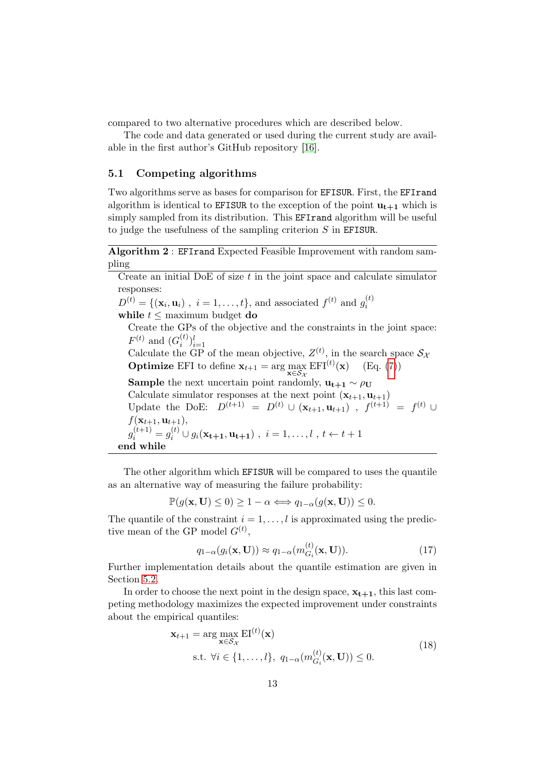compared to two alternative procedures which are described below.

The code and data generated or used during the current study are available in the first author's GitHub repository [\[16\]](#page-23-7).

#### 5.1 Competing algorithms

Two algorithms serve as bases for comparison for EFISUR. First, the EFIrand algorithm is identical to **EFISUR** to the exception of the point  $\mathbf{u}_{t+1}$  which is simply sampled from its distribution. This EFIrand algorithm will be useful to judge the usefulness of the sampling criterion S in EFISUR.

Algorithm 2 : EFIrand Expected Feasible Improvement with random sampling

Create an initial DoE of size  $t$  in the joint space and calculate simulator responses:

 $D^{(t)} = \{(\mathbf{x}_i, \mathbf{u}_i)$ ,  $i = 1, ..., t\}$ , and associated  $f^{(t)}$  and  $g_i^{(t)}$ i

while  $t \leq$  maximum budget do

Create the GPs of the objective and the constraints in the joint space:  $F^{(t)}$  and  $(G_i^{(t)}$  $\binom{(t)}{i}$ <sub>i=1</sub>

Calculate the GP of the mean objective,  $Z^{(t)}$ , in the search space  $S_{\lambda}$ **Optimize** EFI to define  $\mathbf{x}_{t+1} = \arg \max_{\mathbf{x} \in S_{\mathcal{X}}} \text{EFI}^{(t)}(\mathbf{x})$  (Eq. [\(7\)](#page-7-0))

**Sample** the next uncertain point randomly,  $\mathbf{u}_{t+1} \sim \rho_{\mathbf{U}}$ 

Calculate simulator responses at the next point  $(\mathbf{x}_{t+1}, \mathbf{u}_{t+1})$ Update the DoE:  $D^{(t+1)} = D^{(t)} \cup (\mathbf{x}_{t+1}, \mathbf{u}_{t+1})$ ,  $f^{(t+1)} = f^{(t)} \cup$  $f(\mathbf{x}_{t+1}, \mathbf{u}_{t+1}),$  $g_i^{(t+1)} = g_i^{(t)} \cup g_i(\mathbf{x_{t+1}}, \mathbf{u_{t+1}})$ ,  $i = 1, ..., l$ ,  $t \leftarrow t+1$ end while

The other algorithm which EFISUR will be compared to uses the quantile as an alternative way of measuring the failure probability:

 $\mathbb{P}(g(\mathbf{x}, \mathbf{U}) \leq 0) \geq 1 - \alpha \Longleftrightarrow q_{1-\alpha}(g(\mathbf{x}, \mathbf{U})) \leq 0.$ 

The quantile of the constraint  $i = 1, \ldots, l$  is approximated using the predictive mean of the GP model  $G^{(t)}$ ,

$$
q_{1-\alpha}(g_i(\mathbf{x}, \mathbf{U})) \approx q_{1-\alpha}(m_{G_i}^{(t)}(\mathbf{x}, \mathbf{U})).
$$
\n(17)

Further implementation details about the quantile estimation are given in Section [5.2.](#page-14-0)

<span id="page-12-0"></span>In order to choose the next point in the design space,  $x_{t+1}$ , this last competing methodology maximizes the expected improvement under constraints about the empirical quantiles:

$$
\mathbf{x}_{t+1} = \arg \max_{\mathbf{x} \in \mathcal{S}_{\mathcal{X}}} \text{EI}^{(t)}(\mathbf{x})
$$
  
s.t.  $\forall i \in \{1, ..., l\}, q_{1-\alpha}(m_{G_i}^{(t)}(\mathbf{x}, \mathbf{U})) \le 0.$  (18)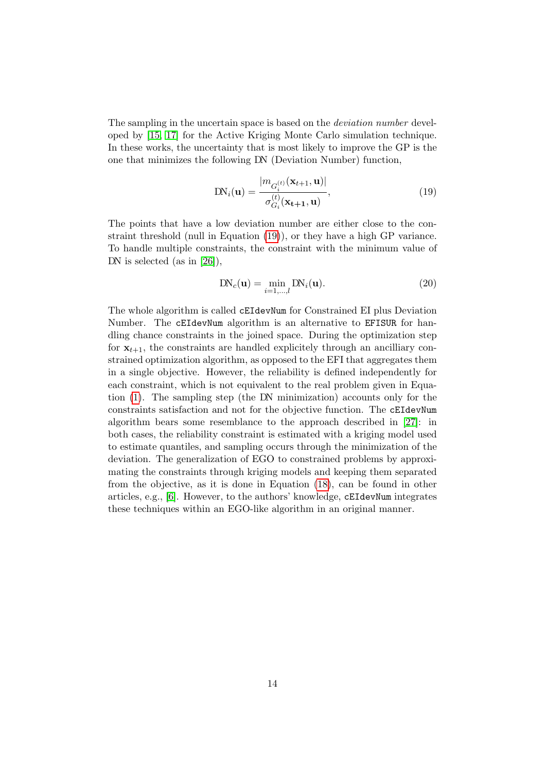The sampling in the uncertain space is based on the *deviation number* developed by [\[15,](#page-23-8) [17\]](#page-23-9) for the Active Kriging Monte Carlo simulation technique. In these works, the uncertainty that is most likely to improve the GP is the one that minimizes the following DN (Deviation Number) function,

<span id="page-13-0"></span>
$$
DN_i(\mathbf{u}) = \frac{|m_{G_i^{(t)}}(\mathbf{x}_{t+1}, \mathbf{u})|}{\sigma_{G_i}^{(t)}(\mathbf{x}_{t+1}, \mathbf{u})},
$$
\n(19)

The points that have a low deviation number are either close to the constraint threshold (null in Equation [\(19\)](#page-13-0)), or they have a high GP variance. To handle multiple constraints, the constraint with the minimum value of DN is selected (as in [\[26\]](#page-24-10)),

<span id="page-13-1"></span>
$$
DN_c(\mathbf{u}) = \min_{i=1,\dots,l} DN_i(\mathbf{u}).
$$
\n(20)

The whole algorithm is called cEIdevNum for Constrained EI plus Deviation Number. The cEIdevNum algorithm is an alternative to EFISUR for handling chance constraints in the joined space. During the optimization step for  $x_{t+1}$ , the constraints are handled explicitely through an ancilliary constrained optimization algorithm, as opposed to the EFI that aggregates them in a single objective. However, the reliability is defined independently for each constraint, which is not equivalent to the real problem given in Equation [\(1\)](#page-3-1). The sampling step (the DN minimization) accounts only for the constraints satisfaction and not for the objective function. The cEIdevNum algorithm bears some resemblance to the approach described in [\[27\]](#page-24-8): in both cases, the reliability constraint is estimated with a kriging model used to estimate quantiles, and sampling occurs through the minimization of the deviation. The generalization of EGO to constrained problems by approximating the constraints through kriging models and keeping them separated from the objective, as it is done in Equation [\(18\)](#page-12-0), can be found in other articles, e.g., [\[6\]](#page-22-6). However, to the authors' knowledge, cEIdevNum integrates these techniques within an EGO-like algorithm in an original manner.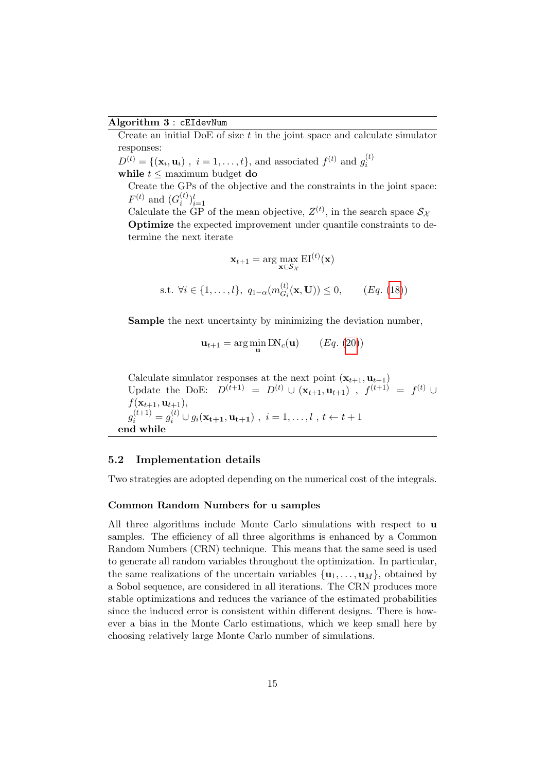#### Algorithm 3 : cEIdevNum

Create an initial DoE of size  $t$  in the joint space and calculate simulator responses:

 $D^{(t)} = \{(\mathbf{x}_i, \mathbf{u}_i)$ ,  $i = 1, ..., t\}$ , and associated  $f^{(t)}$  and  $g_i^{(t)}$ i while  $t \leq$  maximum budget do

Create the GPs of the objective and the constraints in the joint space:  $F^{(t)}$  and  $(G_i^{(t)}$  $i^{(t)} \}_{i=1}^{l}$ 

Calculate the GP of the mean objective,  $Z^{(t)}$ , in the search space  $S_{\lambda}$ Optimize the expected improvement under quantile constraints to determine the next iterate

$$
\mathbf{x}_{t+1} = \arg \max_{\mathbf{x} \in S_{\mathcal{X}}} \text{EI}^{(t)}(\mathbf{x})
$$
  
s.t.  $\forall i \in \{1, ..., l\}, q_{1-\alpha}(m_{G_i}^{(t)}(\mathbf{x}, \mathbf{U})) \le 0, \qquad (Eq. (18))$ 

Sample the next uncertainty by minimizing the deviation number,

$$
\mathbf{u}_{t+1} = \arg\min_{\mathbf{u}} \text{DN}_c(\mathbf{u}) \qquad (Eq. (20))
$$

Calculate simulator responses at the next point  $(\mathbf{x}_{t+1}, \mathbf{u}_{t+1})$ Update the DoE:  $D^{(t+1)} = D^{(t)} \cup (\mathbf{x}_{t+1}, \mathbf{u}_{t+1})$ ,  $f^{(t+1)} = f^{(t)} \cup$  $f(\mathbf{x}_{t+1}, \mathbf{u}_{t+1}),$  $g_i^{(t+1)} = g_i^{(t)} \cup g_i(\mathbf{x_{t+1}}, \mathbf{u_{t+1}})$ ,  $i = 1, ..., l$ ,  $t \leftarrow t+1$ end while

### <span id="page-14-0"></span>5.2 Implementation details

Two strategies are adopted depending on the numerical cost of the integrals.

#### Common Random Numbers for u samples

All three algorithms include Monte Carlo simulations with respect to u samples. The efficiency of all three algorithms is enhanced by a Common Random Numbers (CRN) technique. This means that the same seed is used to generate all random variables throughout the optimization. In particular, the same realizations of the uncertain variables  $\{u_1, \ldots, u_M\}$ , obtained by a Sobol sequence, are considered in all iterations. The CRN produces more stable optimizations and reduces the variance of the estimated probabilities since the induced error is consistent within different designs. There is however a bias in the Monte Carlo estimations, which we keep small here by choosing relatively large Monte Carlo number of simulations.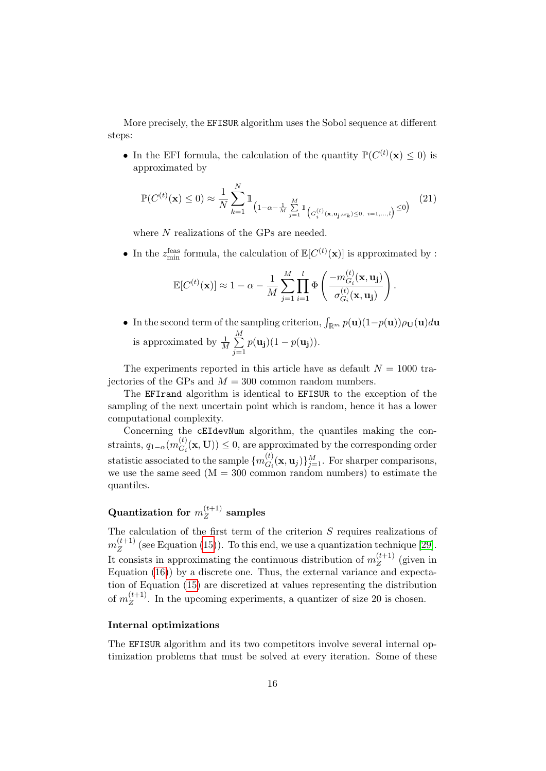More precisely, the EFISUR algorithm uses the Sobol sequence at different steps:

• In the EFI formula, the calculation of the quantity  $\mathbb{P}(C^{(t)}(\mathbf{x}) \leq 0)$  is approximated by

<span id="page-15-0"></span>
$$
\mathbb{P}(C^{(t)}(\mathbf{x}) \le 0) \approx \frac{1}{N} \sum_{k=1}^{N} \mathbb{1}_{\left(1 - \alpha - \frac{1}{M} \sum_{j=1}^{M} \mathbb{1}_{\left(G_{i}^{(t)}(\mathbf{x}, \mathbf{u}_{j}, \omega_{k}) \le 0, i=1,\dots,l\right)} \le 0\right)} (21)
$$

where N realizations of the GPs are needed.

• In the  $z_{\text{min}}^{\text{feas}}$  formula, the calculation of  $\mathbb{E}[C^{(t)}(\mathbf{x})]$  is approximated by :

$$
\mathbb{E}[C^{(t)}(\mathbf{x})] \approx 1 - \alpha - \frac{1}{M} \sum_{j=1}^{M} \prod_{i=1}^{l} \Phi\left(\frac{-m_{G_i}^{(t)}(\mathbf{x}, \mathbf{u_j})}{\sigma_{G_i}^{(t)}(\mathbf{x}, \mathbf{u_j})}\right).
$$

• In the second term of the sampling criterion,  $\int_{\mathbb{R}^m} p(\mathbf{u})(1-p(\mathbf{u})) \rho_{\mathbf{U}}(\mathbf{u}) d\mathbf{u}$ is approximated by  $\frac{1}{M} \sum_{n=1}^{M}$  $j=1$  $p(\mathbf{u_j})(1-p(\mathbf{u_j})).$ 

The experiments reported in this article have as default  $N = 1000$  trajectories of the GPs and  $M = 300$  common random numbers.

The EFIrand algorithm is identical to EFISUR to the exception of the sampling of the next uncertain point which is random, hence it has a lower computational complexity.

Concerning the cEIdevNum algorithm, the quantiles making the constraints,  $q_{1-\alpha}(m_{G_i}^{(t)})$  $G_i(G_i(\mathbf{x}, \mathbf{U})) \leq 0$ , are approximated by the corresponding order statistic associated to the sample  $\{m_{G}^{(t)}\}$  ${}_{G_i}^{(t)}(\mathbf{x}, \mathbf{u}_j) \}_{j=1}^M$ . For sharper comparisons, we use the same seed  $(M = 300 \text{ common random numbers})$  to estimate the quantiles.

#### Quantization for  $m_Z^{(t+1)}$  $\mathbb{Z}^{(l+1)}$  samples

The calculation of the first term of the criterion S requires realizations of  $m_Z^{(t+1)}$  $\mathbb{Z}^{(k+1)}$  (see Equation [\(15\)](#page-10-2)). To this end, we use a quantization technique [\[29\]](#page-24-11). It consists in approximating the continuous distribution of  $m_Z^{(t+1)}$  $\binom{l+1}{Z}$  (given in Equation [\(16\)](#page-10-3)) by a discrete one. Thus, the external variance and expectation of Equation [\(15\)](#page-10-2) are discretized at values representing the distribution of  $m_Z^{(t+1)}$  $\mathbb{Z}^{(l+1)}$ . In the upcoming experiments, a quantizer of size 20 is chosen.

### Internal optimizations

The EFISUR algorithm and its two competitors involve several internal optimization problems that must be solved at every iteration. Some of these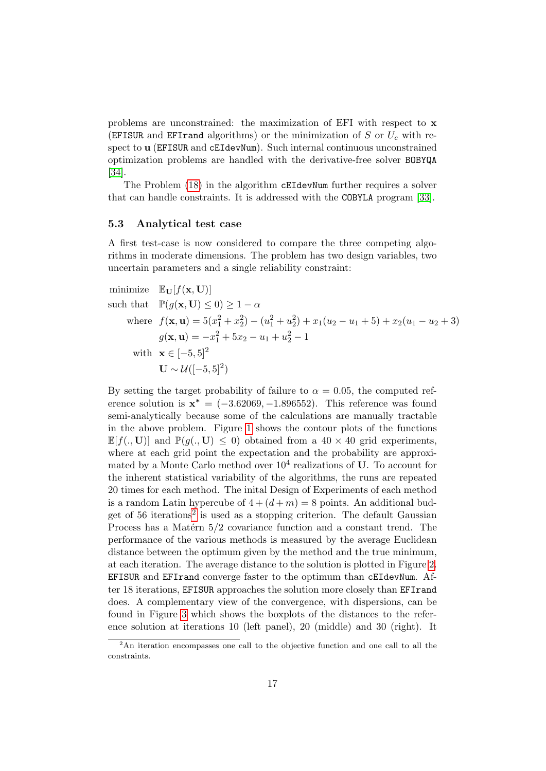problems are unconstrained: the maximization of EFI with respect to x (EFISUR and EFIrand algorithms) or the minimization of S or  $U_c$  with respect to u (EFISUR and cEIdevNum). Such internal continuous unconstrained optimization problems are handled with the derivative-free solver BOBYQA [\[34\]](#page-25-8).

The Problem [\(18\)](#page-12-0) in the algorithm cEIdevNum further requires a solver that can handle constraints. It is addressed with the COBYLA program [\[33\]](#page-25-9).

#### 5.3 Analytical test case

A first test-case is now considered to compare the three competing algorithms in moderate dimensions. The problem has two design variables, two uncertain parameters and a single reliability constraint:

minimize 
$$
\mathbb{E}_{\mathbf{U}}[f(\mathbf{x}, \mathbf{U})]
$$
  
\nsuch that  $\mathbb{P}(g(\mathbf{x}, \mathbf{U}) \le 0) \ge 1 - \alpha$   
\nwhere  $f(\mathbf{x}, \mathbf{u}) = 5(x_1^2 + x_2^2) - (u_1^2 + u_2^2) + x_1(u_2 - u_1 + 5) + x_2(u_1 - u_2 + 3)$   
\n $g(\mathbf{x}, \mathbf{u}) = -x_1^2 + 5x_2 - u_1 + u_2^2 - 1$   
\nwith  $\mathbf{x} \in [-5, 5]^2$   
\n $\mathbf{U} \sim \mathcal{U}([-5, 5]^2)$ 

By setting the target probability of failure to  $\alpha = 0.05$ , the computed reference solution is  $x^* = (-3.62069, -1.896552)$ . This reference was found semi-analytically because some of the calculations are manually tractable in the above problem. Figure [1](#page-17-0) shows the contour plots of the functions  $\mathbb{E}[f(. ,\mathbf{U})]$  and  $\mathbb{P}(q(. ,\mathbf{U}) \leq 0)$  obtained from a 40 × 40 grid experiments, where at each grid point the expectation and the probability are approximated by a Monte Carlo method over  $10^4$  realizations of U. To account for the inherent statistical variability of the algorithms, the runs are repeated 20 times for each method. The inital Design of Experiments of each method is a random Latin hypercube of  $4 + (d + m) = 8$  points. An additional bud-get of 56 iterations<sup>[2](#page-16-0)</sup> is used as a stopping criterion. The default Gaussian Process has a Matérn  $5/2$  covariance function and a constant trend. The performance of the various methods is measured by the average Euclidean distance between the optimum given by the method and the true minimum, at each iteration. The average distance to the solution is plotted in Figure [2.](#page-18-0) EFISUR and EFIrand converge faster to the optimum than cEIdevNum. After 18 iterations, EFISUR approaches the solution more closely than EFIrand does. A complementary view of the convergence, with dispersions, can be found in Figure [3](#page-18-1) which shows the boxplots of the distances to the reference solution at iterations 10 (left panel), 20 (middle) and 30 (right). It

<span id="page-16-0"></span><sup>&</sup>lt;sup>2</sup>An iteration encompasses one call to the objective function and one call to all the constraints.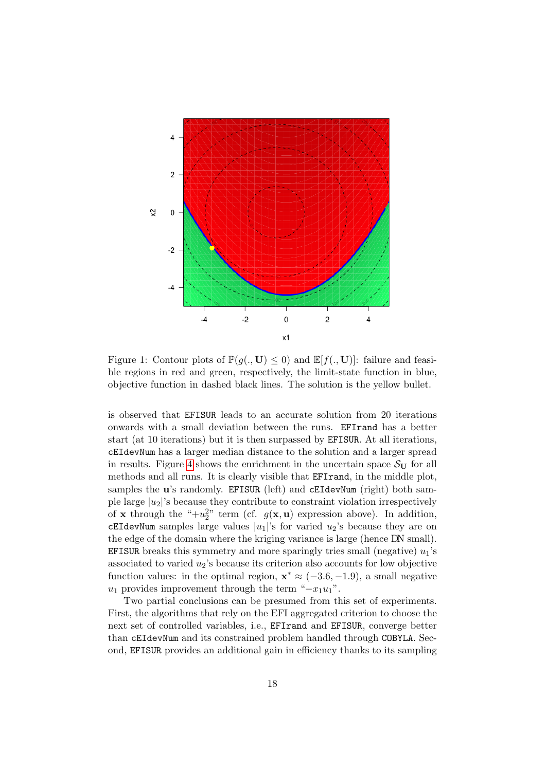

<span id="page-17-0"></span>Figure 1: Contour plots of  $\mathbb{P}(g(.,\mathbf{U})\leq 0)$  and  $\mathbb{E}[f(.,\mathbf{U})]$ : failure and feasible regions in red and green, respectively, the limit-state function in blue, objective function in dashed black lines. The solution is the yellow bullet.

is observed that EFISUR leads to an accurate solution from 20 iterations onwards with a small deviation between the runs. EFIrand has a better start (at 10 iterations) but it is then surpassed by EFISUR. At all iterations, cEIdevNum has a larger median distance to the solution and a larger spread in results. Figure [4](#page-19-0) shows the enrichment in the uncertain space  $S_{\text{U}}$  for all methods and all runs. It is clearly visible that EFIrand, in the middle plot, samples the **u**'s randomly. EFISUR (left) and cEIdevNum (right) both sample large  $|u_2|$ 's because they contribute to constraint violation irrespectively of **x** through the " $+u_2^2$ " term (cf.  $g(\mathbf{x}, \mathbf{u})$  expression above). In addition, cEIdevNum samples large values  $|u_1|$ 's for varied  $u_2$ 's because they are on the edge of the domain where the kriging variance is large (hence DN small). EFISUR breaks this symmetry and more sparingly tries small (negative)  $u_1$ 's associated to varied  $u_2$ 's because its criterion also accounts for low objective function values: in the optimal region,  $\mathbf{x}^* \approx (-3.6, -1.9)$ , a small negative  $u_1$  provides improvement through the term " $-x_1u_1$ ".

Two partial conclusions can be presumed from this set of experiments. First, the algorithms that rely on the EFI aggregated criterion to choose the next set of controlled variables, i.e., EFIrand and EFISUR, converge better than cEIdevNum and its constrained problem handled through COBYLA. Second, EFISUR provides an additional gain in efficiency thanks to its sampling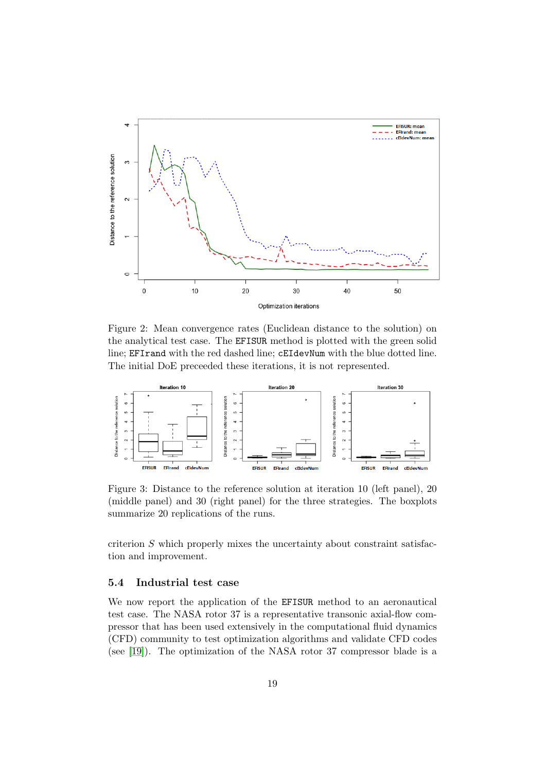

<span id="page-18-0"></span>Figure 2: Mean convergence rates (Euclidean distance to the solution) on the analytical test case. The EFISUR method is plotted with the green solid line; EFIrand with the red dashed line; cEIdevNum with the blue dotted line. The initial DoE preceeded these iterations, it is not represented.



<span id="page-18-1"></span>Figure 3: Distance to the reference solution at iteration 10 (left panel), 20 (middle panel) and 30 (right panel) for the three strategies. The boxplots summarize 20 replications of the runs.

criterion S which properly mixes the uncertainty about constraint satisfaction and improvement.

#### 5.4 Industrial test case

We now report the application of the EFISUR method to an aeronautical test case. The NASA rotor 37 is a representative transonic axial-flow compressor that has been used extensively in the computational fluid dynamics (CFD) community to test optimization algorithms and validate CFD codes (see [\[19\]](#page-23-10)). The optimization of the NASA rotor 37 compressor blade is a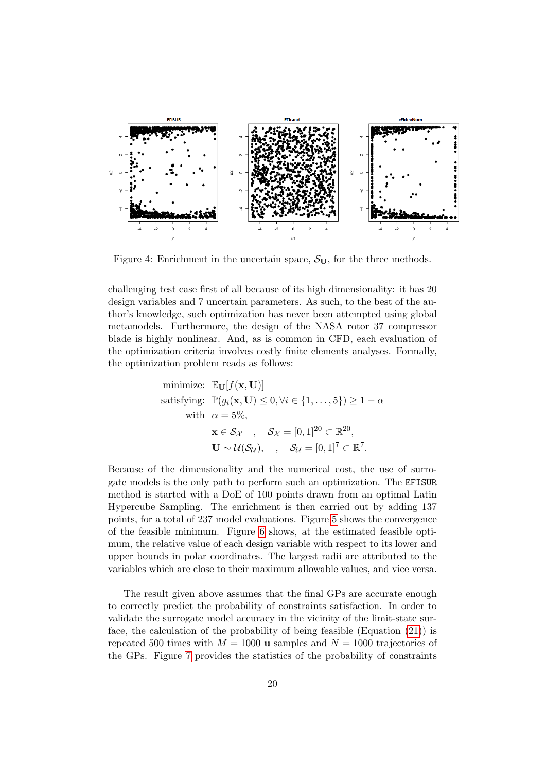

<span id="page-19-0"></span>Figure 4: Enrichment in the uncertain space,  $S_{U}$ , for the three methods.

challenging test case first of all because of its high dimensionality: it has 20 design variables and 7 uncertain parameters. As such, to the best of the author's knowledge, such optimization has never been attempted using global metamodels. Furthermore, the design of the NASA rotor 37 compressor blade is highly nonlinear. And, as is common in CFD, each evaluation of the optimization criteria involves costly finite elements analyses. Formally, the optimization problem reads as follows:

minimize: 
$$
\mathbb{E}_{\mathbf{U}}[f(\mathbf{x}, \mathbf{U})]
$$
  
satisfying:  $\mathbb{P}(g_i(\mathbf{x}, \mathbf{U}) \le 0, \forall i \in \{1, ..., 5\}) \ge 1 - \alpha$   
with  $\alpha = 5\%,$   
 $\mathbf{x} \in S_{\mathcal{X}}$ ,  $S_{\mathcal{X}} = [0, 1]^{20} \subset \mathbb{R}^{20}$ ,  
 $\mathbf{U} \sim \mathcal{U}(S_{\mathcal{U}})$ ,  $S_{\mathcal{U}} = [0, 1]^7 \subset \mathbb{R}^7$ .

Because of the dimensionality and the numerical cost, the use of surrogate models is the only path to perform such an optimization. The EFISUR method is started with a DoE of 100 points drawn from an optimal Latin Hypercube Sampling. The enrichment is then carried out by adding 137 points, for a total of 237 model evaluations. Figure [5](#page-20-0) shows the convergence of the feasible minimum. Figure [6](#page-20-1) shows, at the estimated feasible optimum, the relative value of each design variable with respect to its lower and upper bounds in polar coordinates. The largest radii are attributed to the variables which are close to their maximum allowable values, and vice versa.

The result given above assumes that the final GPs are accurate enough to correctly predict the probability of constraints satisfaction. In order to validate the surrogate model accuracy in the vicinity of the limit-state surface, the calculation of the probability of being feasible (Equation [\(21\)](#page-15-0)) is repeated 500 times with  $M = 1000$  **u** samples and  $N = 1000$  trajectories of the GPs. Figure [7](#page-21-0) provides the statistics of the probability of constraints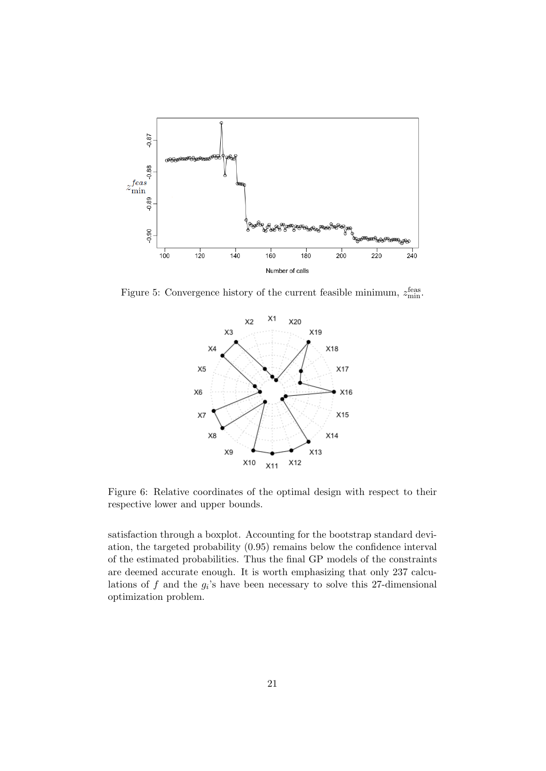

Figure 5: Convergence history of the current feasible minimum,  $z_{\text{min}}^{\text{feas}}$ .

<span id="page-20-0"></span>

<span id="page-20-1"></span>Figure 6: Relative coordinates of the optimal design with respect to their respective lower and upper bounds.

satisfaction through a boxplot. Accounting for the bootstrap standard deviation, the targeted probability (0.95) remains below the confidence interval of the estimated probabilities. Thus the final GP models of the constraints are deemed accurate enough. It is worth emphasizing that only 237 calculations of  $f$  and the  $g_i$ 's have been necessary to solve this 27-dimensional optimization problem.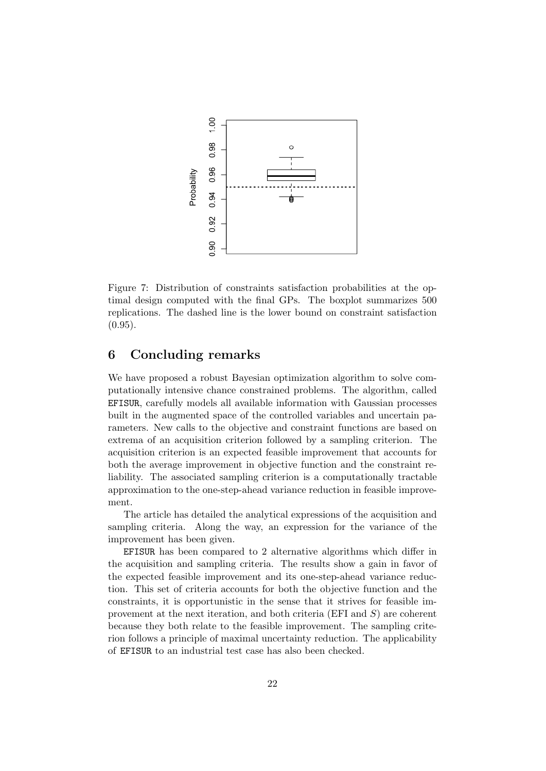

<span id="page-21-0"></span>Figure 7: Distribution of constraints satisfaction probabilities at the optimal design computed with the final GPs. The boxplot summarizes 500 replications. The dashed line is the lower bound on constraint satisfaction  $(0.95).$ 

# 6 Concluding remarks

We have proposed a robust Bayesian optimization algorithm to solve computationally intensive chance constrained problems. The algorithm, called EFISUR, carefully models all available information with Gaussian processes built in the augmented space of the controlled variables and uncertain parameters. New calls to the objective and constraint functions are based on extrema of an acquisition criterion followed by a sampling criterion. The acquisition criterion is an expected feasible improvement that accounts for both the average improvement in objective function and the constraint reliability. The associated sampling criterion is a computationally tractable approximation to the one-step-ahead variance reduction in feasible improvement.

The article has detailed the analytical expressions of the acquisition and sampling criteria. Along the way, an expression for the variance of the improvement has been given.

EFISUR has been compared to 2 alternative algorithms which differ in the acquisition and sampling criteria. The results show a gain in favor of the expected feasible improvement and its one-step-ahead variance reduction. This set of criteria accounts for both the objective function and the constraints, it is opportunistic in the sense that it strives for feasible improvement at the next iteration, and both criteria  $(EFI and S)$  are coherent because they both relate to the feasible improvement. The sampling criterion follows a principle of maximal uncertainty reduction. The applicability of EFISUR to an industrial test case has also been checked.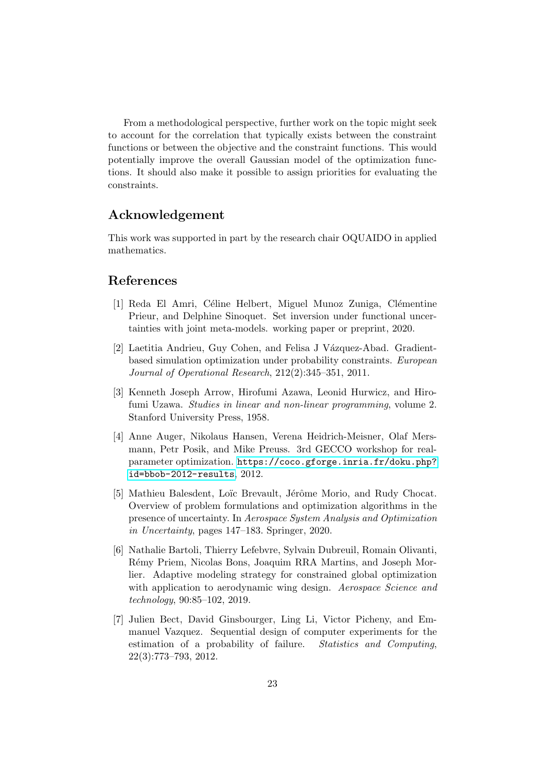From a methodological perspective, further work on the topic might seek to account for the correlation that typically exists between the constraint functions or between the objective and the constraint functions. This would potentially improve the overall Gaussian model of the optimization functions. It should also make it possible to assign priorities for evaluating the constraints.

# Acknowledgement

This work was supported in part by the research chair OQUAIDO in applied mathematics.

# References

- <span id="page-22-4"></span>[1] Reda El Amri, Céline Helbert, Miguel Munoz Zuniga, Clémentine Prieur, and Delphine Sinoquet. Set inversion under functional uncertainties with joint meta-models. working paper or preprint, 2020.
- <span id="page-22-1"></span>[2] Laetitia Andrieu, Guy Cohen, and Felisa J Vázquez-Abad. Gradientbased simulation optimization under probability constraints. European Journal of Operational Research, 212(2):345–351, 2011.
- <span id="page-22-0"></span>[3] Kenneth Joseph Arrow, Hirofumi Azawa, Leonid Hurwicz, and Hirofumi Uzawa. Studies in linear and non-linear programming, volume 2. Stanford University Press, 1958.
- <span id="page-22-2"></span>[4] Anne Auger, Nikolaus Hansen, Verena Heidrich-Meisner, Olaf Mersmann, Petr Posik, and Mike Preuss. 3rd GECCO workshop for realparameter optimization. [https://coco.gforge.inria.fr/doku.php?](https://coco.gforge.inria.fr/doku.php?id=bbob-2012-results) [id=bbob-2012-results](https://coco.gforge.inria.fr/doku.php?id=bbob-2012-results), 2012.
- <span id="page-22-3"></span>[5] Mathieu Balesdent, Loïc Brevault, Jérôme Morio, and Rudy Chocat. Overview of problem formulations and optimization algorithms in the presence of uncertainty. In Aerospace System Analysis and Optimization in Uncertainty, pages 147–183. Springer, 2020.
- <span id="page-22-6"></span>[6] Nathalie Bartoli, Thierry Lefebvre, Sylvain Dubreuil, Romain Olivanti, Rémy Priem, Nicolas Bons, Joaquim RRA Martins, and Joseph Morlier. Adaptive modeling strategy for constrained global optimization with application to aerodynamic wing design. Aerospace Science and technology, 90:85–102, 2019.
- <span id="page-22-5"></span>[7] Julien Bect, David Ginsbourger, Ling Li, Victor Picheny, and Emmanuel Vazquez. Sequential design of computer experiments for the estimation of a probability of failure. Statistics and Computing, 22(3):773–793, 2012.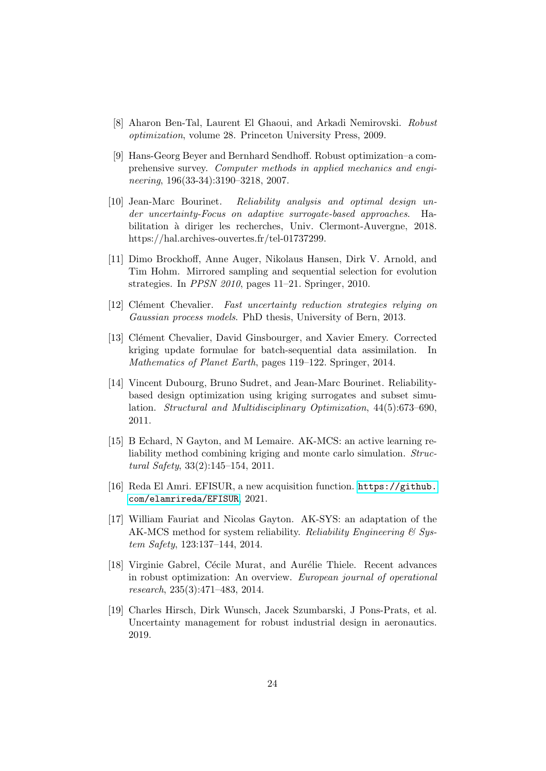- <span id="page-23-0"></span>[8] Aharon Ben-Tal, Laurent El Ghaoui, and Arkadi Nemirovski. Robust optimization, volume 28. Princeton University Press, 2009.
- <span id="page-23-3"></span>[9] Hans-Georg Beyer and Bernhard Sendhoff. Robust optimization–a comprehensive survey. Computer methods in applied mechanics and engineering, 196(33-34):3190–3218, 2007.
- <span id="page-23-4"></span>[10] Jean-Marc Bourinet. Reliability analysis and optimal design under uncertainty-Focus on adaptive surrogate-based approaches. Habilitation à diriger les recherches, Univ. Clermont-Auvergne, 2018. https://hal.archives-ouvertes.fr/tel-01737299.
- <span id="page-23-2"></span>[11] Dimo Brockhoff, Anne Auger, Nikolaus Hansen, Dirk V. Arnold, and Tim Hohm. Mirrored sampling and sequential selection for evolution strategies. In PPSN 2010, pages 11–21. Springer, 2010.
- <span id="page-23-11"></span>[12] Clément Chevalier. Fast uncertainty reduction strategies relying on Gaussian process models. PhD thesis, University of Bern, 2013.
- <span id="page-23-6"></span>[13] Clément Chevalier, David Ginsbourger, and Xavier Emery. Corrected kriging update formulae for batch-sequential data assimilation. In Mathematics of Planet Earth, pages 119–122. Springer, 2014.
- <span id="page-23-5"></span>[14] Vincent Dubourg, Bruno Sudret, and Jean-Marc Bourinet. Reliabilitybased design optimization using kriging surrogates and subset simulation. Structural and Multidisciplinary Optimization, 44(5):673–690, 2011.
- <span id="page-23-8"></span>[15] B Echard, N Gayton, and M Lemaire. AK-MCS: an active learning reliability method combining kriging and monte carlo simulation. Structural Safety, 33(2):145–154, 2011.
- <span id="page-23-7"></span>[16] Reda El Amri. EFISUR, a new acquisition function. [https://github.](https://github.com/elamrireda/EFISUR) [com/elamrireda/EFISUR](https://github.com/elamrireda/EFISUR), 2021.
- <span id="page-23-9"></span>[17] William Fauriat and Nicolas Gayton. AK-SYS: an adaptation of the AK-MCS method for system reliability. Reliability Engineering  $\mathcal C$  System Safety, 123:137–144, 2014.
- <span id="page-23-1"></span>[18] Virginie Gabrel, Cécile Murat, and Aurélie Thiele. Recent advances in robust optimization: An overview. European journal of operational research, 235(3):471–483, 2014.
- <span id="page-23-10"></span>[19] Charles Hirsch, Dirk Wunsch, Jacek Szumbarski, J Pons-Prats, et al. Uncertainty management for robust industrial design in aeronautics. 2019.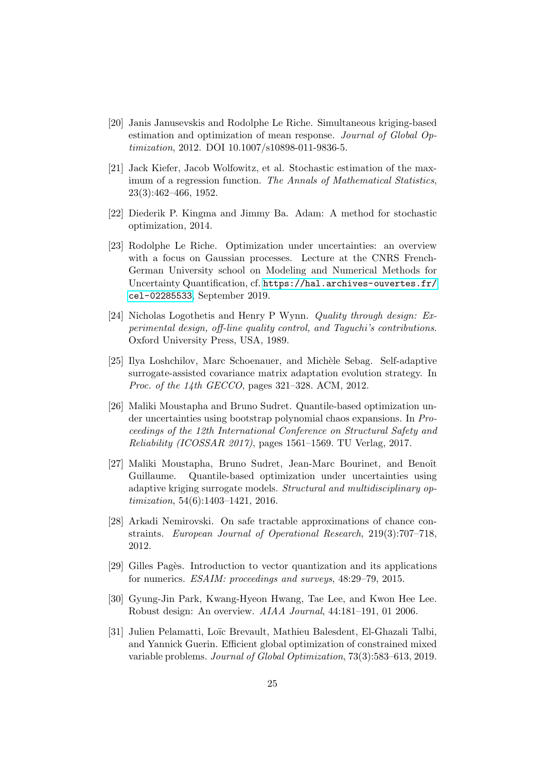- <span id="page-24-4"></span>[20] Janis Janusevskis and Rodolphe Le Riche. Simultaneous kriging-based estimation and optimization of mean response. Journal of Global Optimization, 2012. DOI 10.1007/s10898-011-9836-5.
- <span id="page-24-0"></span>[21] Jack Kiefer, Jacob Wolfowitz, et al. Stochastic estimation of the maximum of a regression function. The Annals of Mathematical Statistics, 23(3):462–466, 1952.
- <span id="page-24-1"></span>[22] Diederik P. Kingma and Jimmy Ba. Adam: A method for stochastic optimization, 2014.
- <span id="page-24-7"></span>[23] Rodolphe Le Riche. Optimization under uncertainties: an overview with a focus on Gaussian processes. Lecture at the CNRS French-German University school on Modeling and Numerical Methods for Uncertainty Quantification, cf. [https://hal.archives-ouvertes.fr/](https://hal.archives-ouvertes.fr/cel-02285533) [cel-02285533](https://hal.archives-ouvertes.fr/cel-02285533), September 2019.
- <span id="page-24-3"></span>[24] Nicholas Logothetis and Henry P Wynn. Quality through design: Experimental design, off-line quality control, and Taguchi's contributions. Oxford University Press, USA, 1989.
- <span id="page-24-2"></span>[25] Ilya Loshchilov, Marc Schoenauer, and Michèle Sebag. Self-adaptive surrogate-assisted covariance matrix adaptation evolution strategy. In Proc. of the 14th GECCO, pages 321–328. ACM, 2012.
- <span id="page-24-10"></span>[26] Maliki Moustapha and Bruno Sudret. Quantile-based optimization under uncertainties using bootstrap polynomial chaos expansions. In Proceedings of the 12th International Conference on Structural Safety and Reliability (ICOSSAR  $2017$ ), pages 1561–1569. TU Verlag, 2017.
- <span id="page-24-8"></span>[27] Maliki Moustapha, Bruno Sudret, Jean-Marc Bourinet, and Benoît Guillaume. Quantile-based optimization under uncertainties using adaptive kriging surrogate models. Structural and multidisciplinary optimization, 54(6):1403–1421, 2016.
- <span id="page-24-6"></span>[28] Arkadi Nemirovski. On safe tractable approximations of chance constraints. European Journal of Operational Research, 219(3):707–718, 2012.
- <span id="page-24-11"></span>[29] Gilles Pagès. Introduction to vector quantization and its applications for numerics. ESAIM: proceedings and surveys, 48:29–79, 2015.
- <span id="page-24-5"></span>[30] Gyung-Jin Park, Kwang-Hyeon Hwang, Tae Lee, and Kwon Hee Lee. Robust design: An overview. AIAA Journal, 44:181–191, 01 2006.
- <span id="page-24-9"></span>[31] Julien Pelamatti, Loïc Brevault, Mathieu Balesdent, El-Ghazali Talbi, and Yannick Guerin. Efficient global optimization of constrained mixed variable problems. Journal of Global Optimization, 73(3):583–613, 2019.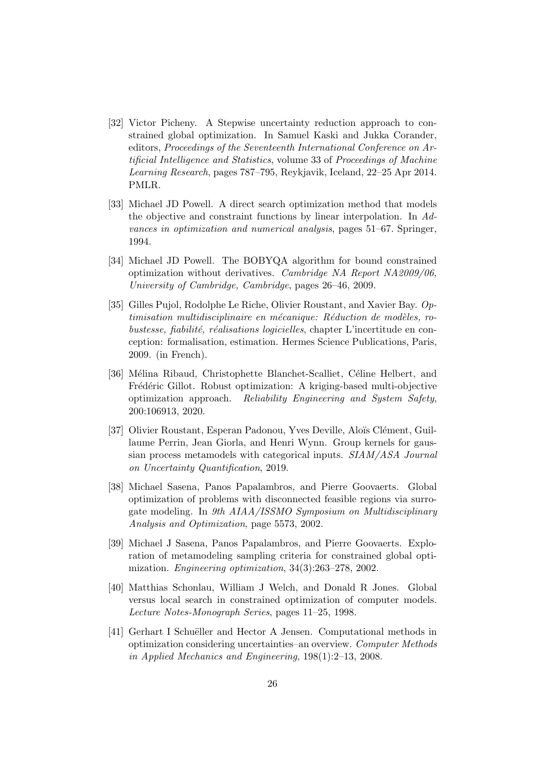- <span id="page-25-2"></span>[32] Victor Picheny. A Stepwise uncertainty reduction approach to constrained global optimization. In Samuel Kaski and Jukka Corander, editors, Proceedings of the Seventeenth International Conference on Artificial Intelligence and Statistics, volume 33 of Proceedings of Machine Learning Research, pages 787–795, Reykjavik, Iceland, 22–25 Apr 2014. PMLR.
- <span id="page-25-9"></span>[33] Michael JD Powell. A direct search optimization method that models the objective and constraint functions by linear interpolation. In Advances in optimization and numerical analysis, pages 51–67. Springer, 1994.
- <span id="page-25-8"></span>[34] Michael JD Powell. The BOBYQA algorithm for bound constrained optimization without derivatives. Cambridge NA Report NA2009/06, University of Cambridge, Cambridge, pages 26–46, 2009.
- <span id="page-25-4"></span>[35] Gilles Pujol, Rodolphe Le Riche, Olivier Roustant, and Xavier Bay. Op $timsation$  multidisciplinaire en mécanique: Réduction de modèles, robustesse, fiabilité, réalisations logicielles, chapter L'incertitude en conception: formalisation, estimation. Hermes Science Publications, Paris, 2009. (in French).
- <span id="page-25-3"></span>[36] Mélina Ribaud, Christophette Blanchet-Scalliet, Céline Helbert, and Frédéric Gillot. Robust optimization: A kriging-based multi-objective optimization approach. Reliability Engineering and System Safety, 200:106913, 2020.
- <span id="page-25-6"></span>[37] Olivier Roustant, Esperan Padonou, Yves Deville, Aloïs Clément, Guillaume Perrin, Jean Giorla, and Henri Wynn. Group kernels for gaussian process metamodels with categorical inputs. SIAM/ASA Journal on Uncertainty Quantification, 2019.
- <span id="page-25-1"></span>[38] Michael Sasena, Panos Papalambros, and Pierre Goovaerts. Global optimization of problems with disconnected feasible regions via surrogate modeling. In 9th AIAA/ISSMO Symposium on Multidisciplinary Analysis and Optimization, page 5573, 2002.
- <span id="page-25-7"></span>[39] Michael J Sasena, Panos Papalambros, and Pierre Goovaerts. Exploration of metamodeling sampling criteria for constrained global optimization. Engineering optimization, 34(3):263–278, 2002.
- <span id="page-25-0"></span>[40] Matthias Schonlau, William J Welch, and Donald R Jones. Global versus local search in constrained optimization of computer models. Lecture Notes-Monograph Series, pages 11–25, 1998.
- <span id="page-25-5"></span>[41] Gerhart I Schuëller and Hector A Jensen. Computational methods in optimization considering uncertainties–an overview. Computer Methods in Applied Mechanics and Engineering, 198(1):2–13, 2008.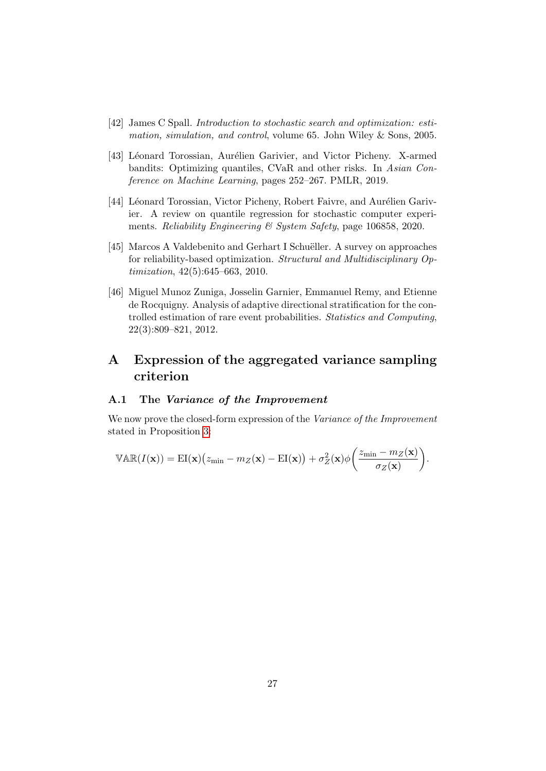- <span id="page-26-0"></span>[42] James C Spall. Introduction to stochastic search and optimization: estimation, simulation, and control, volume 65. John Wiley & Sons, 2005.
- <span id="page-26-1"></span>[43] Léonard Torossian, Aurélien Garivier, and Victor Picheny. X-armed bandits: Optimizing quantiles, CVaR and other risks. In Asian Conference on Machine Learning, pages 252–267. PMLR, 2019.
- <span id="page-26-2"></span>[44] Léonard Torossian, Victor Picheny, Robert Faivre, and Aurélien Garivier. A review on quantile regression for stochastic computer experiments. Reliability Engineering & System Safety, page 106858, 2020.
- <span id="page-26-3"></span>[45] Marcos A Valdebenito and Gerhart I Schuëller. A survey on approaches for reliability-based optimization. Structural and Multidisciplinary Optimization, 42(5):645–663, 2010.
- <span id="page-26-4"></span>[46] Miguel Munoz Zuniga, Josselin Garnier, Emmanuel Remy, and Etienne de Rocquigny. Analysis of adaptive directional stratification for the controlled estimation of rare event probabilities. Statistics and Computing, 22(3):809–821, 2012.

# A Expression of the aggregated variance sampling criterion

## <span id="page-26-5"></span>A.1 The Variance of the Improvement

We now prove the closed-form expression of the Variance of the Improvement stated in Proposition [3:](#page-10-0)

$$
\mathbb{VAR}(I(\mathbf{x})) = \mathrm{EI}(\mathbf{x}) \big(z_{\min} - m_Z(\mathbf{x}) - \mathrm{EI}(\mathbf{x})\big) + \sigma_Z^2(\mathbf{x}) \phi\bigg(\frac{z_{\min} - m_Z(\mathbf{x})}{\sigma_Z(\mathbf{x})}\bigg).
$$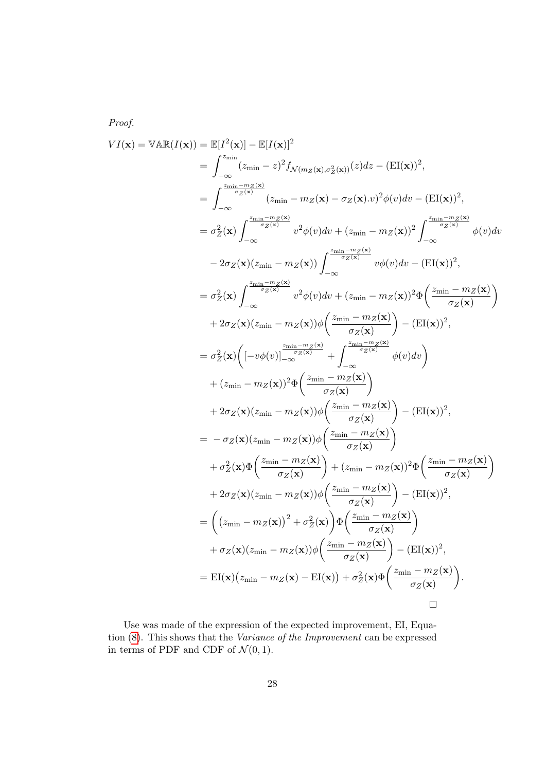Proof.

$$
VI(\mathbf{x}) = \mathbb{VAR}(I(\mathbf{x})) = \mathbb{E}[I^2(\mathbf{x})] - \mathbb{E}[I(\mathbf{x})]^2
$$
  
\n
$$
= \int_{-\infty}^{z_{\min}} (z_{\min} - z)^2 f_{\mathcal{N}(m_Z(\mathbf{x}), \sigma_Z^2(\mathbf{x}))}(z) dz - (\mathbb{E}I(\mathbf{x}))^2,
$$
  
\n
$$
= \int_{-\infty}^{z_{\min}} \frac{-m_Z(\mathbf{x})}{z(\pi_{\min} - m_Z(\mathbf{x}) - \sigma_Z(\mathbf{x}), v)^2} \phi(v) dv - (\mathbb{E}I(\mathbf{x}))^2,
$$
  
\n
$$
= \sigma_Z^2(\mathbf{x}) \int_{-\infty}^{z_{\min} - m_Z(\mathbf{x})} v^2 \phi(v) dv + (z_{\min} - m_Z(\mathbf{x}))^2 \int_{-\infty}^{z_{\min} - m_Z(\mathbf{x})} \phi(v) dv
$$
  
\n
$$
- 2\sigma_Z(\mathbf{x}) (z_{\min} - m_Z(\mathbf{x})) \int_{-\infty}^{z_{\min} - m_Z(\mathbf{x})} v\phi(v) dv - (\mathbb{E}I(\mathbf{x}))^2,
$$
  
\n
$$
= \sigma_Z^2(\mathbf{x}) \int_{-\infty}^{z_{\min} - m_Z(\mathbf{x})} v^2 \phi(v) dv + (z_{\min} - m_Z(\mathbf{x}))^2 \Phi\left(\frac{z_{\min} - m_Z(\mathbf{x})}{\sigma_Z(\mathbf{x})}\right)
$$
  
\n
$$
+ 2\sigma_Z(\mathbf{x}) (z_{\min} - m_Z(\mathbf{x})) \phi\left(\frac{z_{\min} - m_Z(\mathbf{x})}{\sigma_Z(\mathbf{x})}\right) - (\mathbb{E}I(\mathbf{x}))^2,
$$
  
\n
$$
= \sigma_Z^2(\mathbf{x}) \left( [-v\phi(v)]_{-\infty}^{z_{\min} - m_Z(\mathbf{x})} + \int_{-\infty}^{z_{\max} - m_Z(\mathbf{x})} \phi(v) dv \right)
$$
  
\n
$$
+ (z_{\min} - m_Z(\mathbf{x}))^2 \Phi\left(\frac{z_{\min} - m_Z(\mathbf{x})}{\sigma_Z(\mathbf{x})}\right) - (\mathbb{E}I(\mathbf{x}))^2,
$$
  
\n
$$
+ 2\sigma_Z(\mathbf{x})
$$

Use was made of the expression of the expected improvement, EI, Equation [\(8\)](#page-7-2). This shows that the Variance of the Improvement can be expressed in terms of PDF and CDF of  $\mathcal{N}(0, 1)$ .